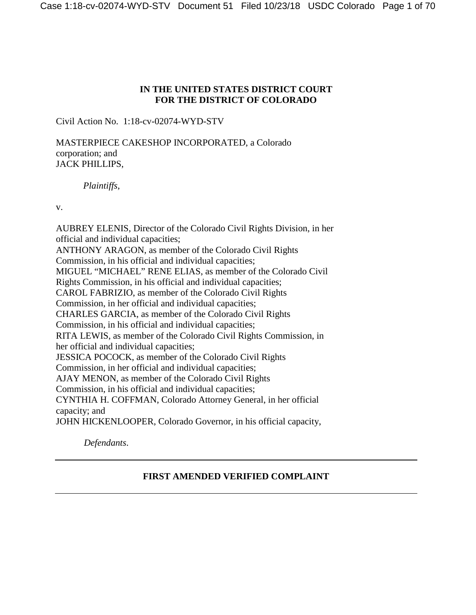# **IN THE UNITED STATES DISTRICT COURT FOR THE DISTRICT OF COLORADO**

Civil Action No. 1:18-cv-02074-WYD-STV

MASTERPIECE CAKESHOP INCORPORATED, a Colorado corporation; and JACK PHILLIPS,

*Plaintiffs*,

v.

AUBREY ELENIS, Director of the Colorado Civil Rights Division, in her official and individual capacities; ANTHONY ARAGON, as member of the Colorado Civil Rights Commission, in his official and individual capacities; MIGUEL "MICHAEL" RENE ELIAS, as member of the Colorado Civil Rights Commission, in his official and individual capacities; CAROL FABRIZIO, as member of the Colorado Civil Rights Commission, in her official and individual capacities; CHARLES GARCIA, as member of the Colorado Civil Rights Commission, in his official and individual capacities; RITA LEWIS, as member of the Colorado Civil Rights Commission, in her official and individual capacities; JESSICA POCOCK, as member of the Colorado Civil Rights Commission, in her official and individual capacities; AJAY MENON, as member of the Colorado Civil Rights Commission, in his official and individual capacities; CYNTHIA H. COFFMAN, Colorado Attorney General, in her official capacity; and JOHN HICKENLOOPER, Colorado Governor, in his official capacity,

*Defendants*.

# **FIRST AMENDED VERIFIED COMPLAINT**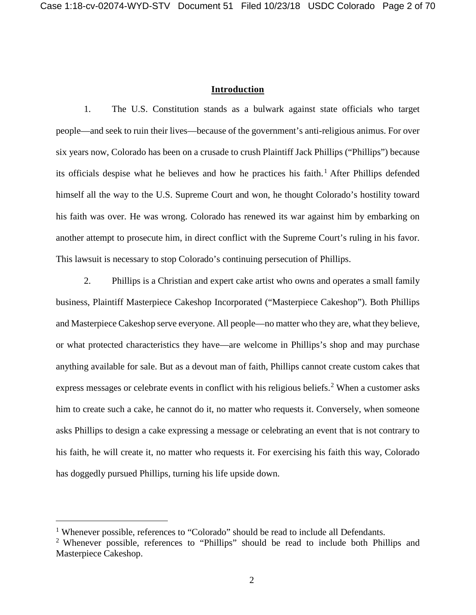## **Introduction**

1. The U.S. Constitution stands as a bulwark against state officials who target people—and seek to ruin their lives—because of the government's anti-religious animus. For over six years now, Colorado has been on a crusade to crush Plaintiff Jack Phillips ("Phillips") because its officials despise what he believes and how he practices his faith.<sup>[1](#page-1-0)</sup> After Phillips defended himself all the way to the U.S. Supreme Court and won, he thought Colorado's hostility toward his faith was over. He was wrong. Colorado has renewed its war against him by embarking on another attempt to prosecute him, in direct conflict with the Supreme Court's ruling in his favor. This lawsuit is necessary to stop Colorado's continuing persecution of Phillips.

2. Phillips is a Christian and expert cake artist who owns and operates a small family business, Plaintiff Masterpiece Cakeshop Incorporated ("Masterpiece Cakeshop"). Both Phillips and Masterpiece Cakeshop serve everyone. All people—no matter who they are, what they believe, or what protected characteristics they have—are welcome in Phillips's shop and may purchase anything available for sale. But as a devout man of faith, Phillips cannot create custom cakes that express messages or celebrate events in conflict with his religious beliefs.<sup>[2](#page-1-1)</sup> When a customer asks him to create such a cake, he cannot do it, no matter who requests it. Conversely, when someone asks Phillips to design a cake expressing a message or celebrating an event that is not contrary to his faith, he will create it, no matter who requests it. For exercising his faith this way, Colorado has doggedly pursued Phillips, turning his life upside down.

<span id="page-1-0"></span><sup>&</sup>lt;sup>1</sup> Whenever possible, references to "Colorado" should be read to include all Defendants.

<span id="page-1-1"></span><sup>2</sup> Whenever possible, references to "Phillips" should be read to include both Phillips and Masterpiece Cakeshop.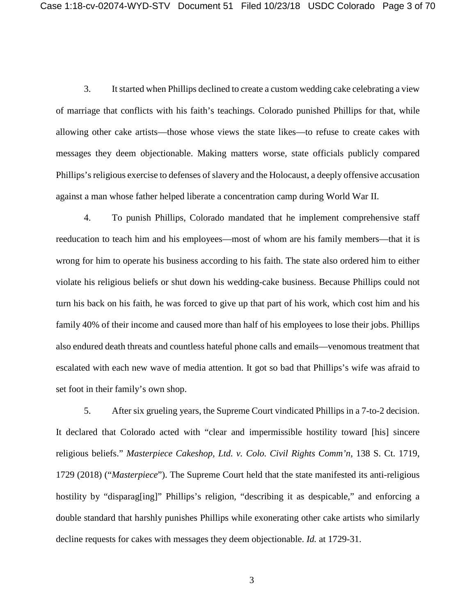3. It started when Phillips declined to create a custom wedding cake celebrating a view of marriage that conflicts with his faith's teachings. Colorado punished Phillips for that, while allowing other cake artists—those whose views the state likes—to refuse to create cakes with messages they deem objectionable. Making matters worse, state officials publicly compared Phillips's religious exercise to defenses of slavery and the Holocaust, a deeply offensive accusation against a man whose father helped liberate a concentration camp during World War II.

4. To punish Phillips, Colorado mandated that he implement comprehensive staff reeducation to teach him and his employees—most of whom are his family members—that it is wrong for him to operate his business according to his faith. The state also ordered him to either violate his religious beliefs or shut down his wedding-cake business. Because Phillips could not turn his back on his faith, he was forced to give up that part of his work, which cost him and his family 40% of their income and caused more than half of his employees to lose their jobs. Phillips also endured death threats and countless hateful phone calls and emails—venomous treatment that escalated with each new wave of media attention. It got so bad that Phillips's wife was afraid to set foot in their family's own shop.

5. After six grueling years, the Supreme Court vindicated Phillips in a 7-to-2 decision. It declared that Colorado acted with "clear and impermissible hostility toward [his] sincere religious beliefs." *Masterpiece Cakeshop, Ltd. v. Colo. Civil Rights Comm'n*, 138 S. Ct. 1719, 1729 (2018) ("*Masterpiece*"). The Supreme Court held that the state manifested its anti-religious hostility by "disparag[ing]" Phillips's religion, "describing it as despicable," and enforcing a double standard that harshly punishes Phillips while exonerating other cake artists who similarly decline requests for cakes with messages they deem objectionable. *Id.* at 1729-31.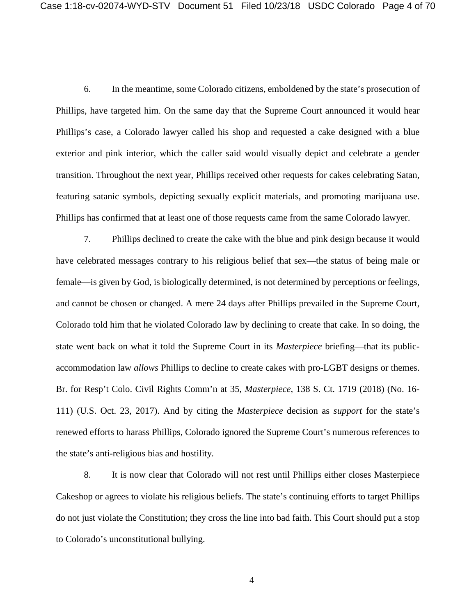6. In the meantime, some Colorado citizens, emboldened by the state's prosecution of Phillips, have targeted him. On the same day that the Supreme Court announced it would hear Phillips's case, a Colorado lawyer called his shop and requested a cake designed with a blue exterior and pink interior, which the caller said would visually depict and celebrate a gender transition. Throughout the next year, Phillips received other requests for cakes celebrating Satan, featuring satanic symbols, depicting sexually explicit materials, and promoting marijuana use. Phillips has confirmed that at least one of those requests came from the same Colorado lawyer.

7. Phillips declined to create the cake with the blue and pink design because it would have celebrated messages contrary to his religious belief that sex—the status of being male or female—is given by God, is biologically determined, is not determined by perceptions or feelings, and cannot be chosen or changed. A mere 24 days after Phillips prevailed in the Supreme Court, Colorado told him that he violated Colorado law by declining to create that cake. In so doing, the state went back on what it told the Supreme Court in its *Masterpiece* briefing—that its publicaccommodation law *allows* Phillips to decline to create cakes with pro-LGBT designs or themes. Br. for Resp't Colo. Civil Rights Comm'n at 35, *Masterpiece*, 138 S. Ct. 1719 (2018) (No. 16- 111) (U.S. Oct. 23, 2017). And by citing the *Masterpiece* decision as *support* for the state's renewed efforts to harass Phillips, Colorado ignored the Supreme Court's numerous references to the state's anti-religious bias and hostility.

8. It is now clear that Colorado will not rest until Phillips either closes Masterpiece Cakeshop or agrees to violate his religious beliefs. The state's continuing efforts to target Phillips do not just violate the Constitution; they cross the line into bad faith. This Court should put a stop to Colorado's unconstitutional bullying.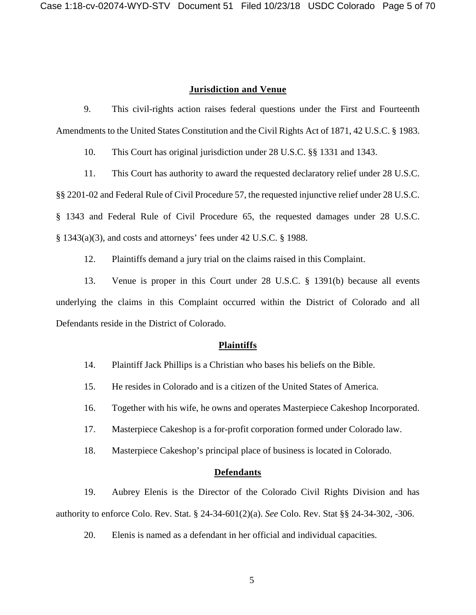## **Jurisdiction and Venue**

9. This civil-rights action raises federal questions under the First and Fourteenth Amendments to the United States Constitution and the Civil Rights Act of 1871, 42 U.S.C. § 1983.

10. This Court has original jurisdiction under 28 U.S.C. §§ 1331 and 1343.

11. This Court has authority to award the requested declaratory relief under 28 U.S.C.

§§ 2201-02 and Federal Rule of Civil Procedure 57, the requested injunctive relief under 28 U.S.C.

§ 1343 and Federal Rule of Civil Procedure 65, the requested damages under 28 U.S.C.

§ 1343(a)(3), and costs and attorneys' fees under 42 U.S.C. § 1988.

12. Plaintiffs demand a jury trial on the claims raised in this Complaint.

13. Venue is proper in this Court under 28 U.S.C. § 1391(b) because all events underlying the claims in this Complaint occurred within the District of Colorado and all Defendants reside in the District of Colorado.

### **Plaintiffs**

- 14. Plaintiff Jack Phillips is a Christian who bases his beliefs on the Bible.
- 15. He resides in Colorado and is a citizen of the United States of America.

16. Together with his wife, he owns and operates Masterpiece Cakeshop Incorporated.

17. Masterpiece Cakeshop is a for-profit corporation formed under Colorado law.

18. Masterpiece Cakeshop's principal place of business is located in Colorado.

#### **Defendants**

19. Aubrey Elenis is the Director of the Colorado Civil Rights Division and has authority to enforce Colo. Rev. Stat. § 24-34-601(2)(a). *See* Colo. Rev. Stat §§ 24-34-302, -306.

20. Elenis is named as a defendant in her official and individual capacities.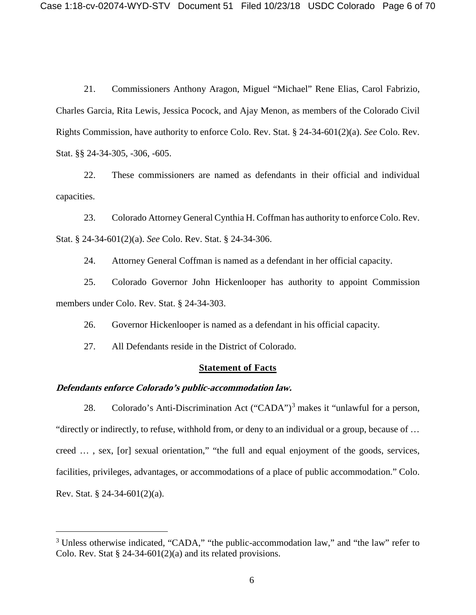21. Commissioners Anthony Aragon, Miguel "Michael" Rene Elias, Carol Fabrizio, Charles Garcia, Rita Lewis, Jessica Pocock, and Ajay Menon, as members of the Colorado Civil Rights Commission, have authority to enforce Colo. Rev. Stat. § 24-34-601(2)(a). *See* Colo. Rev. Stat. §§ 24-34-305, -306, -605.

22. These commissioners are named as defendants in their official and individual capacities.

23. Colorado Attorney General Cynthia H. Coffman has authority to enforce Colo. Rev. Stat. § 24-34-601(2)(a). *See* Colo. Rev. Stat. § 24-34-306.

24. Attorney General Coffman is named as a defendant in her official capacity.

25. Colorado Governor John Hickenlooper has authority to appoint Commission members under Colo. Rev. Stat. § 24-34-303.

26. Governor Hickenlooper is named as a defendant in his official capacity.

27. All Defendants reside in the District of Colorado.

## **Statement of Facts**

## **Defendants enforce Colorado's public-accommodation law.**

28. Colorado's Anti-Discrimination Act  $("CADA")^3$  $("CADA")^3$  makes it "unlawful for a person, "directly or indirectly, to refuse, withhold from, or deny to an individual or a group, because of … creed … , sex, [or] sexual orientation," "the full and equal enjoyment of the goods, services, facilities, privileges, advantages, or accommodations of a place of public accommodation." Colo. Rev. Stat. § 24-34-601(2)(a).

<span id="page-5-0"></span><sup>&</sup>lt;sup>3</sup> Unless otherwise indicated, "CADA," "the public-accommodation law," and "the law" refer to Colo. Rev. Stat  $\S$  24-34-601(2)(a) and its related provisions.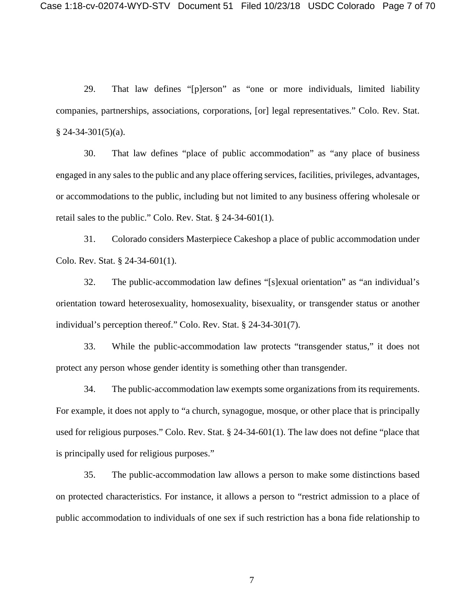29. That law defines "[p]erson" as "one or more individuals, limited liability companies, partnerships, associations, corporations, [or] legal representatives." Colo. Rev. Stat.  $§$  24-34-301(5)(a).

30. That law defines "place of public accommodation" as "any place of business engaged in any sales to the public and any place offering services, facilities, privileges, advantages, or accommodations to the public, including but not limited to any business offering wholesale or retail sales to the public." Colo. Rev. Stat. § 24-34-601(1).

31. Colorado considers Masterpiece Cakeshop a place of public accommodation under Colo. Rev. Stat. § 24-34-601(1).

32. The public-accommodation law defines "[s]exual orientation" as "an individual's orientation toward heterosexuality, homosexuality, bisexuality, or transgender status or another individual's perception thereof." Colo. Rev. Stat. § 24-34-301(7).

33. While the public-accommodation law protects "transgender status," it does not protect any person whose gender identity is something other than transgender.

34. The public-accommodation law exempts some organizations from its requirements. For example, it does not apply to "a church, synagogue, mosque, or other place that is principally used for religious purposes." Colo. Rev. Stat. § 24-34-601(1). The law does not define "place that is principally used for religious purposes."

35. The public-accommodation law allows a person to make some distinctions based on protected characteristics. For instance, it allows a person to "restrict admission to a place of public accommodation to individuals of one sex if such restriction has a bona fide relationship to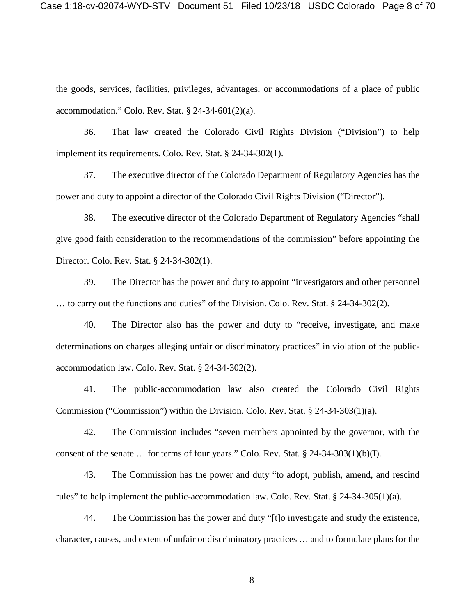the goods, services, facilities, privileges, advantages, or accommodations of a place of public accommodation." Colo. Rev. Stat. § 24-34-601(2)(a).

36. That law created the Colorado Civil Rights Division ("Division") to help implement its requirements. Colo. Rev. Stat. § 24-34-302(1).

37. The executive director of the Colorado Department of Regulatory Agencies has the power and duty to appoint a director of the Colorado Civil Rights Division ("Director").

38. The executive director of the Colorado Department of Regulatory Agencies "shall give good faith consideration to the recommendations of the commission" before appointing the Director. Colo. Rev. Stat. § 24-34-302(1).

39. The Director has the power and duty to appoint "investigators and other personnel … to carry out the functions and duties" of the Division. Colo. Rev. Stat. § 24-34-302(2).

40. The Director also has the power and duty to "receive, investigate, and make determinations on charges alleging unfair or discriminatory practices" in violation of the publicaccommodation law. Colo. Rev. Stat. § 24-34-302(2).

41. The public-accommodation law also created the Colorado Civil Rights Commission ("Commission") within the Division. Colo. Rev. Stat. § 24-34-303(1)(a).

42. The Commission includes "seven members appointed by the governor, with the consent of the senate … for terms of four years." Colo. Rev. Stat. § 24-34-303(1)(b)(I).

43. The Commission has the power and duty "to adopt, publish, amend, and rescind rules" to help implement the public-accommodation law. Colo. Rev. Stat. § 24-34-305(1)(a).

44. The Commission has the power and duty "[t]o investigate and study the existence, character, causes, and extent of unfair or discriminatory practices … and to formulate plans for the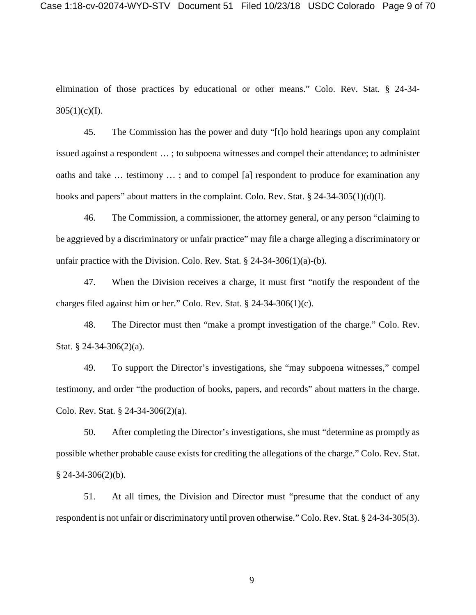elimination of those practices by educational or other means." Colo. Rev. Stat. § 24-34-  $305(1)(c)(I).$ 

45. The Commission has the power and duty "[t]o hold hearings upon any complaint issued against a respondent … ; to subpoena witnesses and compel their attendance; to administer oaths and take … testimony … ; and to compel [a] respondent to produce for examination any books and papers" about matters in the complaint. Colo. Rev. Stat. § 24-34-305(1)(d)(I).

46. The Commission, a commissioner, the attorney general, or any person "claiming to be aggrieved by a discriminatory or unfair practice" may file a charge alleging a discriminatory or unfair practice with the Division. Colo. Rev. Stat.  $\S$  24-34-306(1)(a)-(b).

47. When the Division receives a charge, it must first "notify the respondent of the charges filed against him or her." Colo. Rev. Stat. § 24-34-306(1)(c).

48. The Director must then "make a prompt investigation of the charge." Colo. Rev. Stat. § 24-34-306(2)(a).

49. To support the Director's investigations, she "may subpoena witnesses," compel testimony, and order "the production of books, papers, and records" about matters in the charge. Colo. Rev. Stat. § 24-34-306(2)(a).

50. After completing the Director's investigations, she must "determine as promptly as possible whether probable cause exists for crediting the allegations of the charge." Colo. Rev. Stat.  $§$  24-34-306(2)(b).

51. At all times, the Division and Director must "presume that the conduct of any respondent is not unfair or discriminatory until proven otherwise." Colo. Rev. Stat. § 24-34-305(3).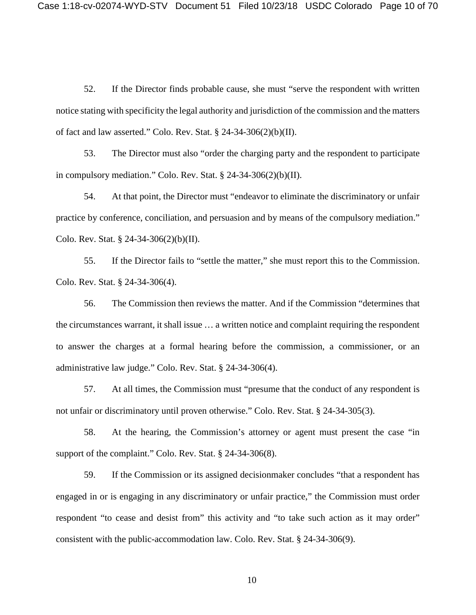52. If the Director finds probable cause, she must "serve the respondent with written notice stating with specificity the legal authority and jurisdiction of the commission and the matters of fact and law asserted." Colo. Rev. Stat. § 24-34-306(2)(b)(II).

53. The Director must also "order the charging party and the respondent to participate in compulsory mediation." Colo. Rev. Stat. § 24-34-306(2)(b)(II).

54. At that point, the Director must "endeavor to eliminate the discriminatory or unfair practice by conference, conciliation, and persuasion and by means of the compulsory mediation." Colo. Rev. Stat. § 24-34-306(2)(b)(II).

55. If the Director fails to "settle the matter," she must report this to the Commission. Colo. Rev. Stat. § 24-34-306(4).

56. The Commission then reviews the matter. And if the Commission "determines that the circumstances warrant, it shall issue … a written notice and complaint requiring the respondent to answer the charges at a formal hearing before the commission, a commissioner, or an administrative law judge." Colo. Rev. Stat. § 24-34-306(4).

57. At all times, the Commission must "presume that the conduct of any respondent is not unfair or discriminatory until proven otherwise." Colo. Rev. Stat. § 24-34-305(3).

58. At the hearing, the Commission's attorney or agent must present the case "in support of the complaint." Colo. Rev. Stat. § 24-34-306(8).

59. If the Commission or its assigned decisionmaker concludes "that a respondent has engaged in or is engaging in any discriminatory or unfair practice," the Commission must order respondent "to cease and desist from" this activity and "to take such action as it may order" consistent with the public-accommodation law. Colo. Rev. Stat. § 24-34-306(9).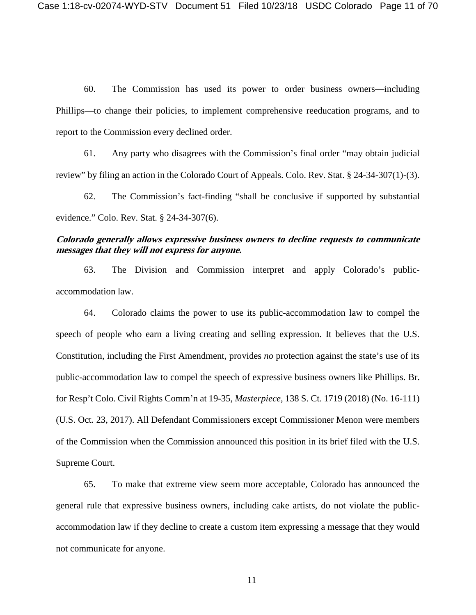60. The Commission has used its power to order business owners—including Phillips—to change their policies, to implement comprehensive reeducation programs, and to report to the Commission every declined order.

61. Any party who disagrees with the Commission's final order "may obtain judicial review" by filing an action in the Colorado Court of Appeals. Colo. Rev. Stat. § 24-34-307(1)-(3).

62. The Commission's fact-finding "shall be conclusive if supported by substantial evidence." Colo. Rev. Stat. § 24-34-307(6).

## **Colorado generally allows expressive business owners to decline requests to communicate messages that they will not express for anyone.**

63. The Division and Commission interpret and apply Colorado's publicaccommodation law.

64. Colorado claims the power to use its public-accommodation law to compel the speech of people who earn a living creating and selling expression. It believes that the U.S. Constitution, including the First Amendment, provides *no* protection against the state's use of its public-accommodation law to compel the speech of expressive business owners like Phillips. Br. for Resp't Colo. Civil Rights Comm'n at 19-35, *Masterpiece*, 138 S. Ct. 1719 (2018) (No. 16-111) (U.S. Oct. 23, 2017). All Defendant Commissioners except Commissioner Menon were members of the Commission when the Commission announced this position in its brief filed with the U.S. Supreme Court.

65. To make that extreme view seem more acceptable, Colorado has announced the general rule that expressive business owners, including cake artists, do not violate the publicaccommodation law if they decline to create a custom item expressing a message that they would not communicate for anyone.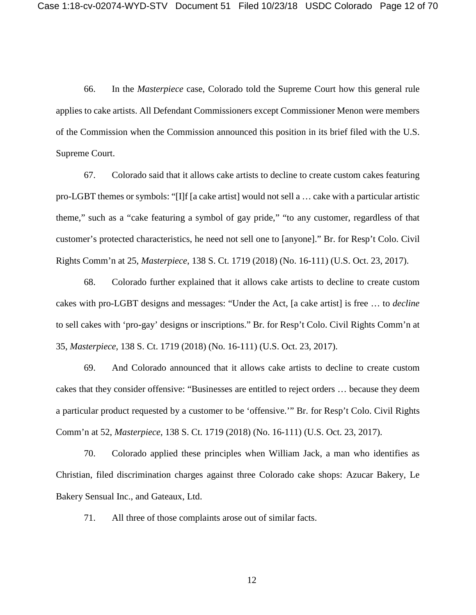66. In the *Masterpiece* case, Colorado told the Supreme Court how this general rule applies to cake artists. All Defendant Commissioners except Commissioner Menon were members of the Commission when the Commission announced this position in its brief filed with the U.S. Supreme Court.

67. Colorado said that it allows cake artists to decline to create custom cakes featuring pro-LGBT themes or symbols: "[I]f [a cake artist] would not sell a … cake with a particular artistic theme," such as a "cake featuring a symbol of gay pride," "to any customer, regardless of that customer's protected characteristics, he need not sell one to [anyone]." Br. for Resp't Colo. Civil Rights Comm'n at 25, *Masterpiece*, 138 S. Ct. 1719 (2018) (No. 16-111) (U.S. Oct. 23, 2017).

68. Colorado further explained that it allows cake artists to decline to create custom cakes with pro-LGBT designs and messages: "Under the Act, [a cake artist] is free … to *decline* to sell cakes with 'pro-gay' designs or inscriptions." Br. for Resp't Colo. Civil Rights Comm'n at 35, *Masterpiece*, 138 S. Ct. 1719 (2018) (No. 16-111) (U.S. Oct. 23, 2017).

69. And Colorado announced that it allows cake artists to decline to create custom cakes that they consider offensive: "Businesses are entitled to reject orders … because they deem a particular product requested by a customer to be 'offensive.'" Br. for Resp't Colo. Civil Rights Comm'n at 52, *Masterpiece*, 138 S. Ct. 1719 (2018) (No. 16-111) (U.S. Oct. 23, 2017).

70. Colorado applied these principles when William Jack, a man who identifies as Christian, filed discrimination charges against three Colorado cake shops: Azucar Bakery, Le Bakery Sensual Inc., and Gateaux, Ltd.

71. All three of those complaints arose out of similar facts.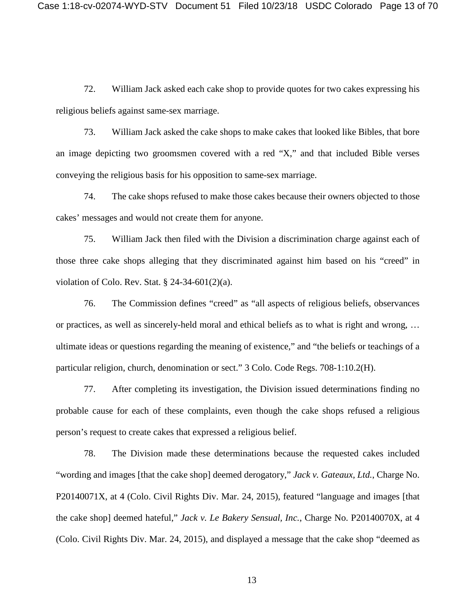72. William Jack asked each cake shop to provide quotes for two cakes expressing his religious beliefs against same-sex marriage.

73. William Jack asked the cake shops to make cakes that looked like Bibles, that bore an image depicting two groomsmen covered with a red "X," and that included Bible verses conveying the religious basis for his opposition to same-sex marriage.

74. The cake shops refused to make those cakes because their owners objected to those cakes' messages and would not create them for anyone.

75. William Jack then filed with the Division a discrimination charge against each of those three cake shops alleging that they discriminated against him based on his "creed" in violation of Colo. Rev. Stat. § 24-34-601(2)(a).

76. The Commission defines "creed" as "all aspects of religious beliefs, observances or practices, as well as sincerely-held moral and ethical beliefs as to what is right and wrong, … ultimate ideas or questions regarding the meaning of existence," and "the beliefs or teachings of a particular religion, church, denomination or sect." 3 Colo. Code Regs. 708-1:10.2(H).

77. After completing its investigation, the Division issued determinations finding no probable cause for each of these complaints, even though the cake shops refused a religious person's request to create cakes that expressed a religious belief.

78. The Division made these determinations because the requested cakes included "wording and images [that the cake shop] deemed derogatory," *Jack v. Gateaux, Ltd.*, Charge No. P20140071X, at 4 (Colo. Civil Rights Div. Mar. 24, 2015), featured "language and images [that the cake shop] deemed hateful," *Jack v. Le Bakery Sensual, Inc.*, Charge No. P20140070X, at 4 (Colo. Civil Rights Div. Mar. 24, 2015), and displayed a message that the cake shop "deemed as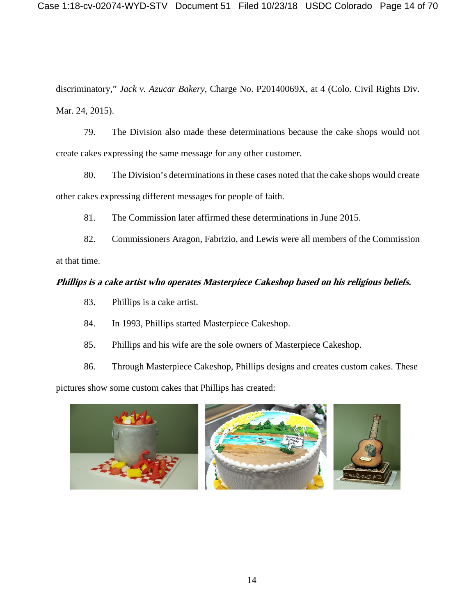discriminatory," *Jack v. Azucar Bakery*, Charge No. P20140069X, at 4 (Colo. Civil Rights Div. Mar. 24, 2015).

79. The Division also made these determinations because the cake shops would not create cakes expressing the same message for any other customer.

80. The Division's determinations in these cases noted that the cake shops would create other cakes expressing different messages for people of faith.

81. The Commission later affirmed these determinations in June 2015.

82. Commissioners Aragon, Fabrizio, and Lewis were all members of the Commission at that time.

# **Phillips is a cake artist who operates Masterpiece Cakeshop based on his religious beliefs.**

- 83. Phillips is a cake artist.
- 84. In 1993, Phillips started Masterpiece Cakeshop.
- 85. Phillips and his wife are the sole owners of Masterpiece Cakeshop.

86. Through Masterpiece Cakeshop, Phillips designs and creates custom cakes. These pictures show some custom cakes that Phillips has created:

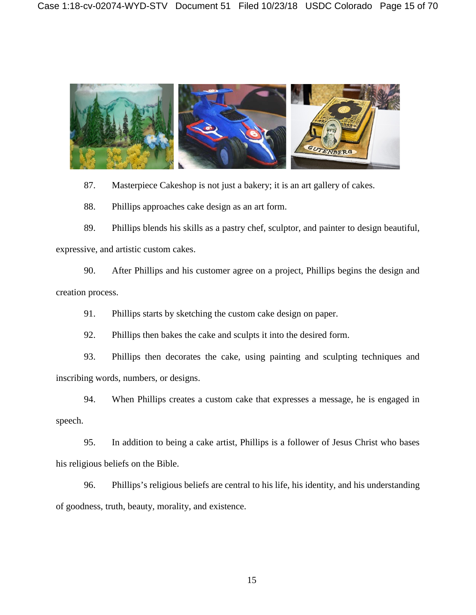

87. Masterpiece Cakeshop is not just a bakery; it is an art gallery of cakes.

88. Phillips approaches cake design as an art form.

89. Phillips blends his skills as a pastry chef, sculptor, and painter to design beautiful, expressive, and artistic custom cakes.

90. After Phillips and his customer agree on a project, Phillips begins the design and creation process.

91. Phillips starts by sketching the custom cake design on paper.

92. Phillips then bakes the cake and sculpts it into the desired form.

93. Phillips then decorates the cake, using painting and sculpting techniques and inscribing words, numbers, or designs.

94. When Phillips creates a custom cake that expresses a message, he is engaged in speech.

95. In addition to being a cake artist, Phillips is a follower of Jesus Christ who bases his religious beliefs on the Bible.

96. Phillips's religious beliefs are central to his life, his identity, and his understanding of goodness, truth, beauty, morality, and existence.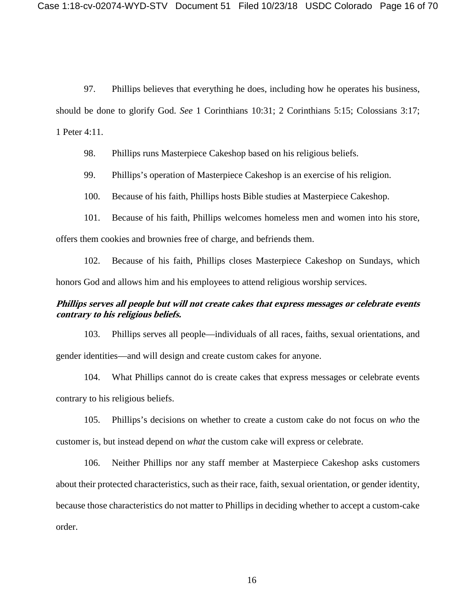97. Phillips believes that everything he does, including how he operates his business, should be done to glorify God. *See* 1 Corinthians 10:31; 2 Corinthians 5:15; Colossians 3:17; 1 Peter 4:11.

98. Phillips runs Masterpiece Cakeshop based on his religious beliefs.

99. Phillips's operation of Masterpiece Cakeshop is an exercise of his religion.

100. Because of his faith, Phillips hosts Bible studies at Masterpiece Cakeshop.

101. Because of his faith, Phillips welcomes homeless men and women into his store, offers them cookies and brownies free of charge, and befriends them.

102. Because of his faith, Phillips closes Masterpiece Cakeshop on Sundays, which honors God and allows him and his employees to attend religious worship services.

## **Phillips serves all people but will not create cakes that express messages or celebrate events contrary to his religious beliefs.**

103. Phillips serves all people—individuals of all races, faiths, sexual orientations, and gender identities—and will design and create custom cakes for anyone.

104. What Phillips cannot do is create cakes that express messages or celebrate events contrary to his religious beliefs.

105. Phillips's decisions on whether to create a custom cake do not focus on *who* the customer is, but instead depend on *what* the custom cake will express or celebrate.

106. Neither Phillips nor any staff member at Masterpiece Cakeshop asks customers about their protected characteristics, such as their race, faith, sexual orientation, or gender identity, because those characteristics do not matter to Phillips in deciding whether to accept a custom-cake order.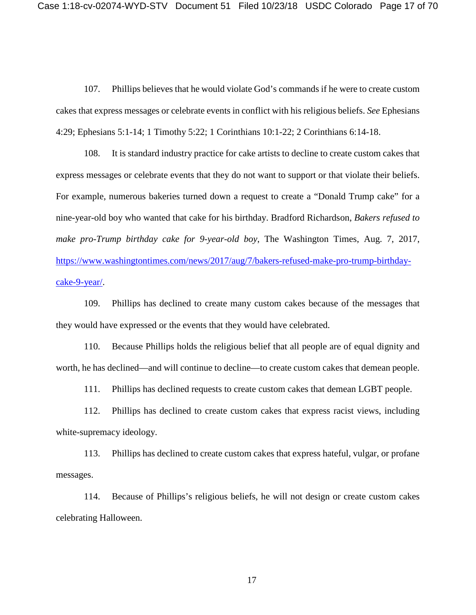107. Phillips believes that he would violate God's commands if he were to create custom cakes that express messages or celebrate events in conflict with his religious beliefs. *See* Ephesians 4:29; Ephesians 5:1-14; 1 Timothy 5:22; 1 Corinthians 10:1-22; 2 Corinthians 6:14-18.

108. It is standard industry practice for cake artists to decline to create custom cakes that express messages or celebrate events that they do not want to support or that violate their beliefs. For example, numerous bakeries turned down a request to create a "Donald Trump cake" for a nine-year-old boy who wanted that cake for his birthday. Bradford Richardson, *Bakers refused to make pro-Trump birthday cake for 9-year-old boy*, The Washington Times, Aug. 7, 2017, [https://www.washingtontimes.com/news/2017/aug/7/bakers-refused-make-pro-trump-birthday](https://www.washingtontimes.com/news/2017/aug/7/bakers-refused-make-pro-trump-birthday-cake-9-year/)[cake-9-year/.](https://www.washingtontimes.com/news/2017/aug/7/bakers-refused-make-pro-trump-birthday-cake-9-year/)

109. Phillips has declined to create many custom cakes because of the messages that they would have expressed or the events that they would have celebrated.

110. Because Phillips holds the religious belief that all people are of equal dignity and worth, he has declined—and will continue to decline—to create custom cakes that demean people.

111. Phillips has declined requests to create custom cakes that demean LGBT people.

112. Phillips has declined to create custom cakes that express racist views, including white-supremacy ideology.

113. Phillips has declined to create custom cakes that express hateful, vulgar, or profane messages.

114. Because of Phillips's religious beliefs, he will not design or create custom cakes celebrating Halloween.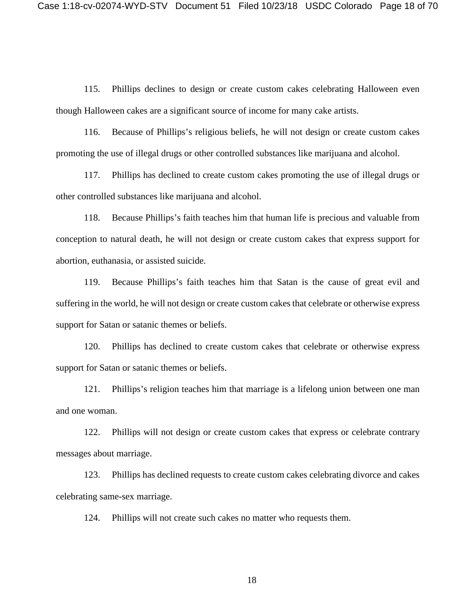115. Phillips declines to design or create custom cakes celebrating Halloween even though Halloween cakes are a significant source of income for many cake artists.

116. Because of Phillips's religious beliefs, he will not design or create custom cakes promoting the use of illegal drugs or other controlled substances like marijuana and alcohol.

117. Phillips has declined to create custom cakes promoting the use of illegal drugs or other controlled substances like marijuana and alcohol.

118. Because Phillips's faith teaches him that human life is precious and valuable from conception to natural death, he will not design or create custom cakes that express support for abortion, euthanasia, or assisted suicide.

119. Because Phillips's faith teaches him that Satan is the cause of great evil and suffering in the world, he will not design or create custom cakes that celebrate or otherwise express support for Satan or satanic themes or beliefs.

120. Phillips has declined to create custom cakes that celebrate or otherwise express support for Satan or satanic themes or beliefs.

121. Phillips's religion teaches him that marriage is a lifelong union between one man and one woman.

122. Phillips will not design or create custom cakes that express or celebrate contrary messages about marriage.

123. Phillips has declined requests to create custom cakes celebrating divorce and cakes celebrating same-sex marriage.

124. Phillips will not create such cakes no matter who requests them.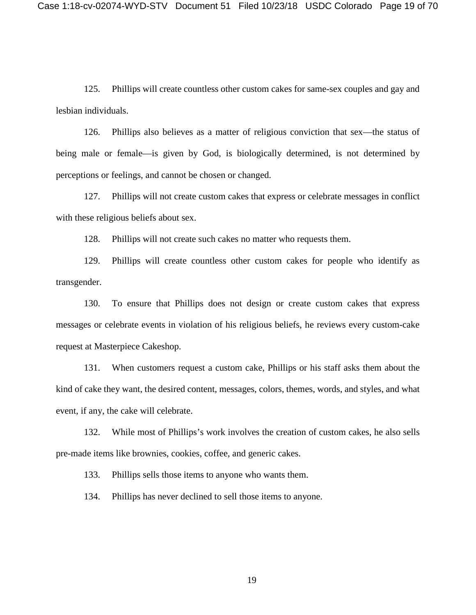125. Phillips will create countless other custom cakes for same-sex couples and gay and lesbian individuals.

126. Phillips also believes as a matter of religious conviction that sex—the status of being male or female—is given by God, is biologically determined, is not determined by perceptions or feelings, and cannot be chosen or changed.

127. Phillips will not create custom cakes that express or celebrate messages in conflict with these religious beliefs about sex.

128. Phillips will not create such cakes no matter who requests them.

129. Phillips will create countless other custom cakes for people who identify as transgender.

130. To ensure that Phillips does not design or create custom cakes that express messages or celebrate events in violation of his religious beliefs, he reviews every custom-cake request at Masterpiece Cakeshop.

131. When customers request a custom cake, Phillips or his staff asks them about the kind of cake they want, the desired content, messages, colors, themes, words, and styles, and what event, if any, the cake will celebrate.

132. While most of Phillips's work involves the creation of custom cakes, he also sells pre-made items like brownies, cookies, coffee, and generic cakes.

133. Phillips sells those items to anyone who wants them.

134. Phillips has never declined to sell those items to anyone.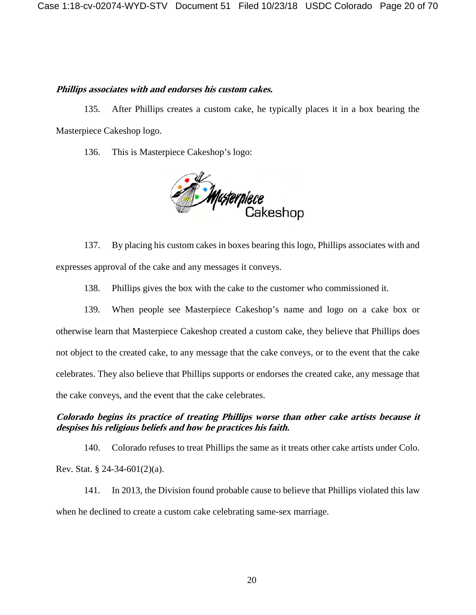### **Phillips associates with and endorses his custom cakes.**

135. After Phillips creates a custom cake, he typically places it in a box bearing the Masterpiece Cakeshop logo.

136. This is Masterpiece Cakeshop's logo:



137. By placing his custom cakes in boxes bearing this logo, Phillips associates with and expresses approval of the cake and any messages it conveys.

138. Phillips gives the box with the cake to the customer who commissioned it.

139. When people see Masterpiece Cakeshop's name and logo on a cake box or otherwise learn that Masterpiece Cakeshop created a custom cake, they believe that Phillips does not object to the created cake, to any message that the cake conveys, or to the event that the cake celebrates. They also believe that Phillips supports or endorses the created cake, any message that the cake conveys, and the event that the cake celebrates.

# **Colorado begins its practice of treating Phillips worse than other cake artists because it despises his religious beliefs and how he practices his faith.**

140. Colorado refuses to treat Phillips the same as it treats other cake artists under Colo. Rev. Stat. § 24-34-601(2)(a).

141. In 2013, the Division found probable cause to believe that Phillips violated this law when he declined to create a custom cake celebrating same-sex marriage.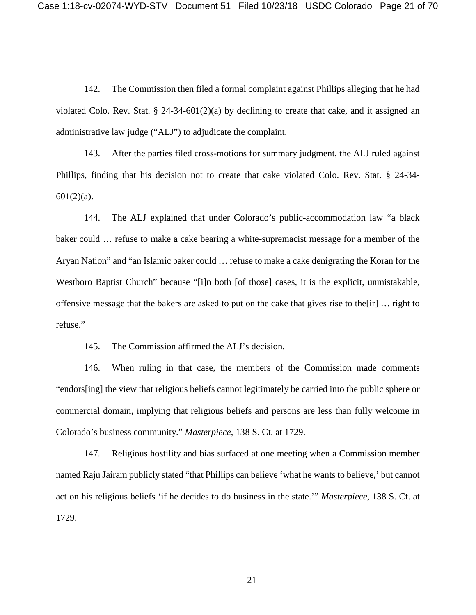142. The Commission then filed a formal complaint against Phillips alleging that he had violated Colo. Rev. Stat. § 24-34-601(2)(a) by declining to create that cake, and it assigned an administrative law judge ("ALJ") to adjudicate the complaint.

143. After the parties filed cross-motions for summary judgment, the ALJ ruled against Phillips, finding that his decision not to create that cake violated Colo. Rev. Stat. § 24-34- 601(2)(a).

144. The ALJ explained that under Colorado's public-accommodation law "a black baker could … refuse to make a cake bearing a white-supremacist message for a member of the Aryan Nation" and "an Islamic baker could … refuse to make a cake denigrating the Koran for the Westboro Baptist Church" because "[i]n both [of those] cases, it is the explicit, unmistakable, offensive message that the bakers are asked to put on the cake that gives rise to the[ir] … right to refuse."

145. The Commission affirmed the ALJ's decision.

146. When ruling in that case, the members of the Commission made comments "endors[ing] the view that religious beliefs cannot legitimately be carried into the public sphere or commercial domain, implying that religious beliefs and persons are less than fully welcome in Colorado's business community." *Masterpiece*, 138 S. Ct. at 1729.

147. Religious hostility and bias surfaced at one meeting when a Commission member named Raju Jairam publicly stated "that Phillips can believe 'what he wants to believe,' but cannot act on his religious beliefs 'if he decides to do business in the state.'" *Masterpiece*, 138 S. Ct. at 1729.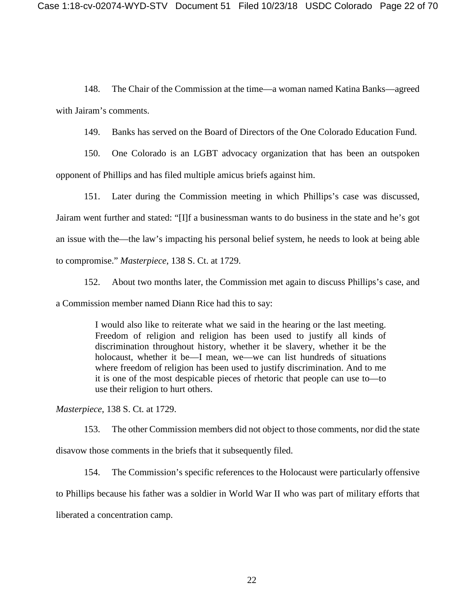148. The Chair of the Commission at the time—a woman named Katina Banks—agreed with Jairam's comments.

149. Banks has served on the Board of Directors of the One Colorado Education Fund.

150. One Colorado is an LGBT advocacy organization that has been an outspoken opponent of Phillips and has filed multiple amicus briefs against him.

151. Later during the Commission meeting in which Phillips's case was discussed, Jairam went further and stated: "[I]f a businessman wants to do business in the state and he's got an issue with the—the law's impacting his personal belief system, he needs to look at being able to compromise." *Masterpiece*, 138 S. Ct. at 1729.

152. About two months later, the Commission met again to discuss Phillips's case, and a Commission member named Diann Rice had this to say:

> I would also like to reiterate what we said in the hearing or the last meeting. Freedom of religion and religion has been used to justify all kinds of discrimination throughout history, whether it be slavery, whether it be the holocaust, whether it be—I mean, we—we can list hundreds of situations where freedom of religion has been used to justify discrimination. And to me it is one of the most despicable pieces of rhetoric that people can use to—to use their religion to hurt others.

*Masterpiece*, 138 S. Ct. at 1729.

153. The other Commission members did not object to those comments, nor did the state

disavow those comments in the briefs that it subsequently filed.

154. The Commission's specific references to the Holocaust were particularly offensive

to Phillips because his father was a soldier in World War II who was part of military efforts that

liberated a concentration camp.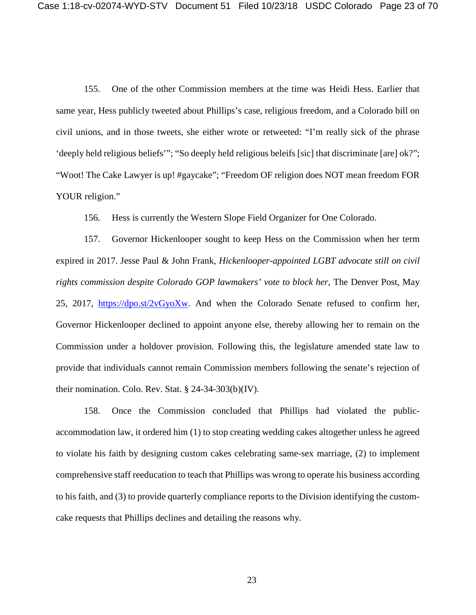155. One of the other Commission members at the time was Heidi Hess. Earlier that same year, Hess publicly tweeted about Phillips's case, religious freedom, and a Colorado bill on civil unions, and in those tweets, she either wrote or retweeted: "I'm really sick of the phrase 'deeply held religious beliefs'"; "So deeply held religious beleifs [sic] that discriminate [are] ok?"; "Woot! The Cake Lawyer is up! #gaycake"; "Freedom OF religion does NOT mean freedom FOR YOUR religion."

156. Hess is currently the Western Slope Field Organizer for One Colorado.

157. Governor Hickenlooper sought to keep Hess on the Commission when her term expired in 2017. Jesse Paul & John Frank, *Hickenlooper-appointed LGBT advocate still on civil rights commission despite Colorado GOP lawmakers' vote to block her*, The Denver Post, May 25, 2017, [https://dpo.st/2vGyoXw.](https://dpo.st/2vGyoXw) And when the Colorado Senate refused to confirm her, Governor Hickenlooper declined to appoint anyone else, thereby allowing her to remain on the Commission under a holdover provision. Following this, the legislature amended state law to provide that individuals cannot remain Commission members following the senate's rejection of their nomination. Colo. Rev. Stat. § 24-34-303(b)(IV).

158. Once the Commission concluded that Phillips had violated the publicaccommodation law, it ordered him (1) to stop creating wedding cakes altogether unless he agreed to violate his faith by designing custom cakes celebrating same-sex marriage, (2) to implement comprehensive staff reeducation to teach that Phillips was wrong to operate his business according to his faith, and (3) to provide quarterly compliance reports to the Division identifying the customcake requests that Phillips declines and detailing the reasons why.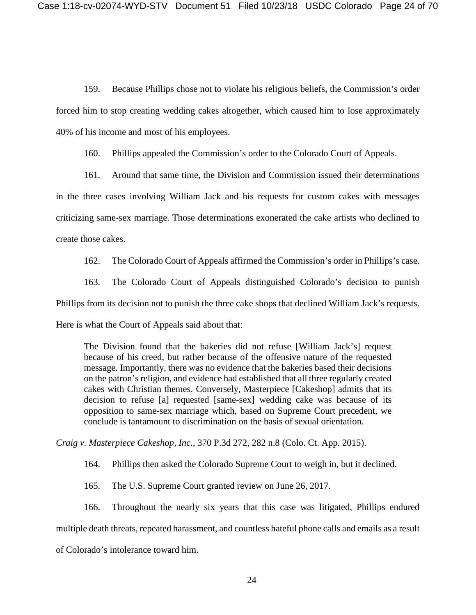159. Because Phillips chose not to violate his religious beliefs, the Commission's order forced him to stop creating wedding cakes altogether, which caused him to lose approximately 40% of his income and most of his employees.

160. Phillips appealed the Commission's order to the Colorado Court of Appeals.

161. Around that same time, the Division and Commission issued their determinations in the three cases involving William Jack and his requests for custom cakes with messages criticizing same-sex marriage. Those determinations exonerated the cake artists who declined to create those cakes.

162. The Colorado Court of Appeals affirmed the Commission's order in Phillips's case.

163. The Colorado Court of Appeals distinguished Colorado's decision to punish Phillips from its decision not to punish the three cake shops that declined William Jack's requests. Here is what the Court of Appeals said about that:

The Division found that the bakeries did not refuse [William Jack's] request because of his creed, but rather because of the offensive nature of the requested message. Importantly, there was no evidence that the bakeries based their decisions on the patron's religion, and evidence had established that all three regularly created cakes with Christian themes. Conversely, Masterpiece [Cakeshop] admits that its decision to refuse [a] requested [same-sex] wedding cake was because of its opposition to same-sex marriage which, based on Supreme Court precedent, we conclude is tantamount to discrimination on the basis of sexual orientation.

*Craig v. Masterpiece Cakeshop, Inc.*, 370 P.3d 272, 282 n.8 (Colo. Ct. App. 2015).

164. Phillips then asked the Colorado Supreme Court to weigh in, but it declined.

165. The U.S. Supreme Court granted review on June 26, 2017.

166. Throughout the nearly six years that this case was litigated, Phillips endured

multiple death threats, repeated harassment, and countless hateful phone calls and emails as a result

of Colorado's intolerance toward him.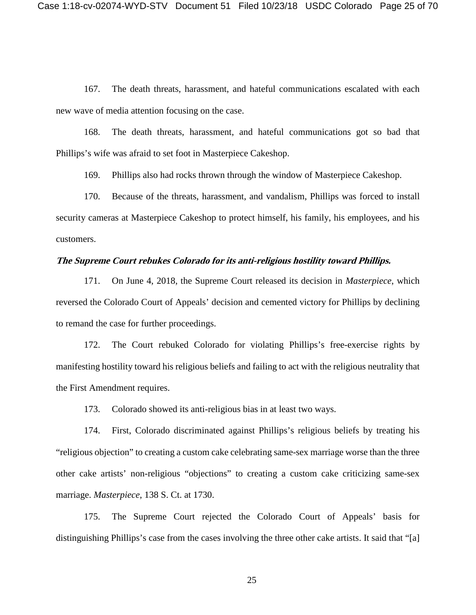167. The death threats, harassment, and hateful communications escalated with each new wave of media attention focusing on the case.

168. The death threats, harassment, and hateful communications got so bad that Phillips's wife was afraid to set foot in Masterpiece Cakeshop.

169. Phillips also had rocks thrown through the window of Masterpiece Cakeshop.

170. Because of the threats, harassment, and vandalism, Phillips was forced to install security cameras at Masterpiece Cakeshop to protect himself, his family, his employees, and his customers.

## **The Supreme Court rebukes Colorado for its anti-religious hostility toward Phillips.**

171. On June 4, 2018, the Supreme Court released its decision in *Masterpiece*, which reversed the Colorado Court of Appeals' decision and cemented victory for Phillips by declining to remand the case for further proceedings.

172. The Court rebuked Colorado for violating Phillips's free-exercise rights by manifesting hostility toward his religious beliefs and failing to act with the religious neutrality that the First Amendment requires.

173. Colorado showed its anti-religious bias in at least two ways.

174. First, Colorado discriminated against Phillips's religious beliefs by treating his "religious objection" to creating a custom cake celebrating same-sex marriage worse than the three other cake artists' non-religious "objections" to creating a custom cake criticizing same-sex marriage. *Masterpiece*, 138 S. Ct. at 1730.

175. The Supreme Court rejected the Colorado Court of Appeals' basis for distinguishing Phillips's case from the cases involving the three other cake artists. It said that "[a]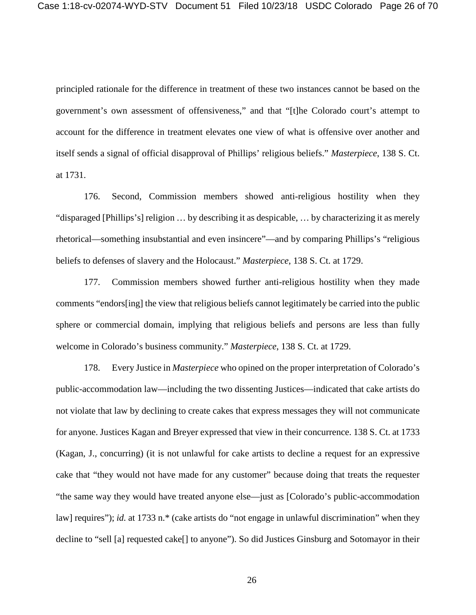principled rationale for the difference in treatment of these two instances cannot be based on the government's own assessment of offensiveness," and that "[t]he Colorado court's attempt to account for the difference in treatment elevates one view of what is offensive over another and itself sends a signal of official disapproval of Phillips' religious beliefs." *Masterpiece*, 138 S. Ct. at 1731.

176. Second, Commission members showed anti-religious hostility when they "disparaged [Phillips's] religion … by describing it as despicable, … by characterizing it as merely rhetorical—something insubstantial and even insincere"—and by comparing Phillips's "religious beliefs to defenses of slavery and the Holocaust." *Masterpiece*, 138 S. Ct. at 1729.

177. Commission members showed further anti-religious hostility when they made comments "endors[ing] the view that religious beliefs cannot legitimately be carried into the public sphere or commercial domain, implying that religious beliefs and persons are less than fully welcome in Colorado's business community." *Masterpiece*, 138 S. Ct. at 1729.

178. Every Justice in *Masterpiece* who opined on the proper interpretation of Colorado's public-accommodation law—including the two dissenting Justices—indicated that cake artists do not violate that law by declining to create cakes that express messages they will not communicate for anyone. Justices Kagan and Breyer expressed that view in their concurrence. 138 S. Ct. at 1733 (Kagan, J., concurring) (it is not unlawful for cake artists to decline a request for an expressive cake that "they would not have made for any customer" because doing that treats the requester "the same way they would have treated anyone else—just as [Colorado's public-accommodation law] requires"); *id.* at 1733 n.\* (cake artists do "not engage in unlawful discrimination" when they decline to "sell [a] requested cake[] to anyone"). So did Justices Ginsburg and Sotomayor in their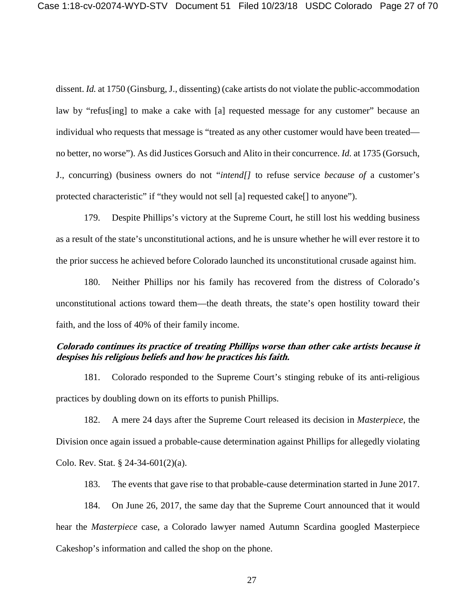dissent. *Id.* at 1750 (Ginsburg, J., dissenting) (cake artists do not violate the public-accommodation law by "refus[ing] to make a cake with [a] requested message for any customer" because an individual who requests that message is "treated as any other customer would have been treated no better, no worse"). As did Justices Gorsuch and Alito in their concurrence. *Id.* at 1735 (Gorsuch, J., concurring) (business owners do not "*intend[]* to refuse service *because of* a customer's protected characteristic" if "they would not sell [a] requested cake[] to anyone").

179. Despite Phillips's victory at the Supreme Court, he still lost his wedding business as a result of the state's unconstitutional actions, and he is unsure whether he will ever restore it to the prior success he achieved before Colorado launched its unconstitutional crusade against him.

180. Neither Phillips nor his family has recovered from the distress of Colorado's unconstitutional actions toward them—the death threats, the state's open hostility toward their faith, and the loss of 40% of their family income.

# **Colorado continues its practice of treating Phillips worse than other cake artists because it despises his religious beliefs and how he practices his faith.**

181. Colorado responded to the Supreme Court's stinging rebuke of its anti-religious practices by doubling down on its efforts to punish Phillips.

182. A mere 24 days after the Supreme Court released its decision in *Masterpiece*, the Division once again issued a probable-cause determination against Phillips for allegedly violating Colo. Rev. Stat. § 24-34-601(2)(a).

183. The events that gave rise to that probable-cause determination started in June 2017.

184. On June 26, 2017, the same day that the Supreme Court announced that it would hear the *Masterpiece* case, a Colorado lawyer named Autumn Scardina googled Masterpiece Cakeshop's information and called the shop on the phone.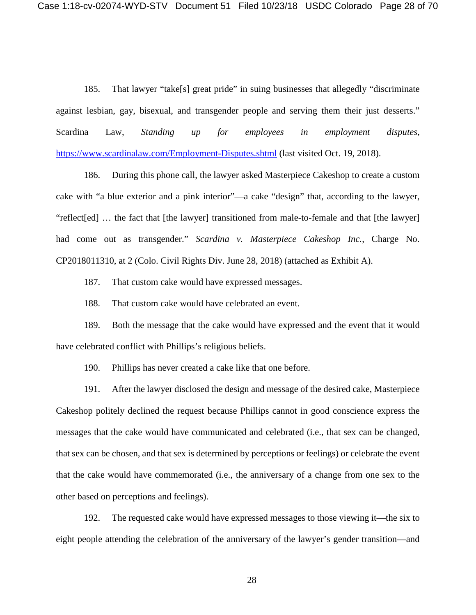185. That lawyer "take[s] great pride" in suing businesses that allegedly "discriminate against lesbian, gay, bisexual, and transgender people and serving them their just desserts." Scardina Law, *Standing up for employees in employment disputes*, <https://www.scardinalaw.com/Employment-Disputes.shtml> (last visited Oct. 19, 2018).

186. During this phone call, the lawyer asked Masterpiece Cakeshop to create a custom cake with "a blue exterior and a pink interior"—a cake "design" that, according to the lawyer, "reflect[ed] … the fact that [the lawyer] transitioned from male-to-female and that [the lawyer] had come out as transgender." *Scardina v. Masterpiece Cakeshop Inc.*, Charge No. CP2018011310, at 2 (Colo. Civil Rights Div. June 28, 2018) (attached as Exhibit A).

187. That custom cake would have expressed messages.

188. That custom cake would have celebrated an event.

189. Both the message that the cake would have expressed and the event that it would have celebrated conflict with Phillips's religious beliefs.

190. Phillips has never created a cake like that one before.

191. After the lawyer disclosed the design and message of the desired cake, Masterpiece Cakeshop politely declined the request because Phillips cannot in good conscience express the messages that the cake would have communicated and celebrated (i.e., that sex can be changed, that sex can be chosen, and that sex is determined by perceptions or feelings) or celebrate the event that the cake would have commemorated (i.e., the anniversary of a change from one sex to the other based on perceptions and feelings).

192. The requested cake would have expressed messages to those viewing it—the six to eight people attending the celebration of the anniversary of the lawyer's gender transition—and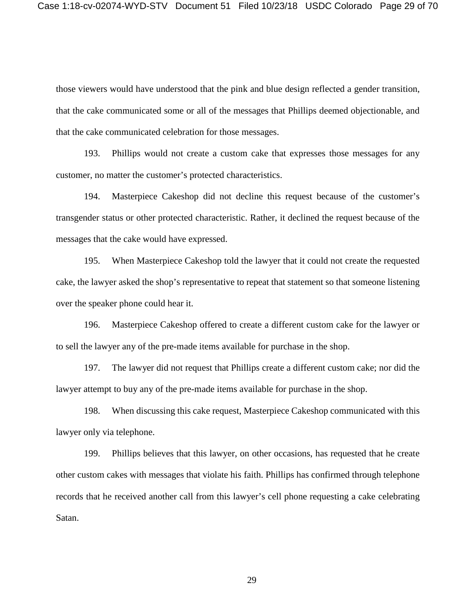those viewers would have understood that the pink and blue design reflected a gender transition, that the cake communicated some or all of the messages that Phillips deemed objectionable, and that the cake communicated celebration for those messages.

193. Phillips would not create a custom cake that expresses those messages for any customer, no matter the customer's protected characteristics.

194. Masterpiece Cakeshop did not decline this request because of the customer's transgender status or other protected characteristic. Rather, it declined the request because of the messages that the cake would have expressed.

195. When Masterpiece Cakeshop told the lawyer that it could not create the requested cake, the lawyer asked the shop's representative to repeat that statement so that someone listening over the speaker phone could hear it.

196. Masterpiece Cakeshop offered to create a different custom cake for the lawyer or to sell the lawyer any of the pre-made items available for purchase in the shop.

197. The lawyer did not request that Phillips create a different custom cake; nor did the lawyer attempt to buy any of the pre-made items available for purchase in the shop.

198. When discussing this cake request, Masterpiece Cakeshop communicated with this lawyer only via telephone.

199. Phillips believes that this lawyer, on other occasions, has requested that he create other custom cakes with messages that violate his faith. Phillips has confirmed through telephone records that he received another call from this lawyer's cell phone requesting a cake celebrating Satan.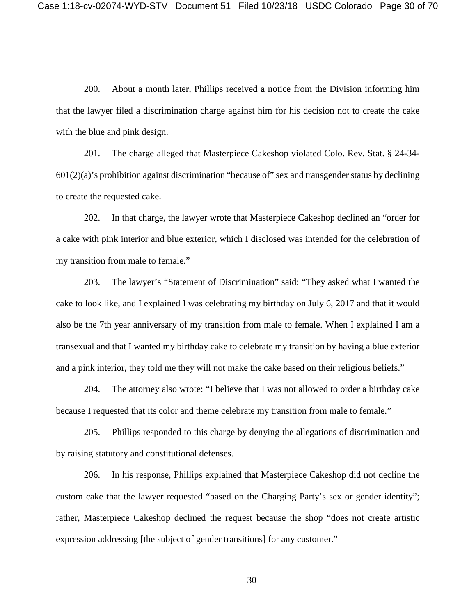200. About a month later, Phillips received a notice from the Division informing him that the lawyer filed a discrimination charge against him for his decision not to create the cake with the blue and pink design.

201. The charge alleged that Masterpiece Cakeshop violated Colo. Rev. Stat. § 24-34- 601(2)(a)'s prohibition against discrimination "because of" sex and transgender status by declining to create the requested cake.

202. In that charge, the lawyer wrote that Masterpiece Cakeshop declined an "order for a cake with pink interior and blue exterior, which I disclosed was intended for the celebration of my transition from male to female."

203. The lawyer's "Statement of Discrimination" said: "They asked what I wanted the cake to look like, and I explained I was celebrating my birthday on July 6, 2017 and that it would also be the 7th year anniversary of my transition from male to female. When I explained I am a transexual and that I wanted my birthday cake to celebrate my transition by having a blue exterior and a pink interior, they told me they will not make the cake based on their religious beliefs."

204. The attorney also wrote: "I believe that I was not allowed to order a birthday cake because I requested that its color and theme celebrate my transition from male to female."

205. Phillips responded to this charge by denying the allegations of discrimination and by raising statutory and constitutional defenses.

206. In his response, Phillips explained that Masterpiece Cakeshop did not decline the custom cake that the lawyer requested "based on the Charging Party's sex or gender identity"; rather, Masterpiece Cakeshop declined the request because the shop "does not create artistic expression addressing [the subject of gender transitions] for any customer."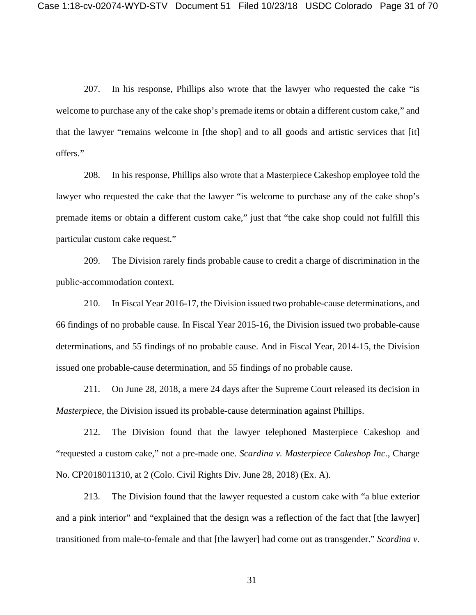207. In his response, Phillips also wrote that the lawyer who requested the cake "is welcome to purchase any of the cake shop's premade items or obtain a different custom cake," and that the lawyer "remains welcome in [the shop] and to all goods and artistic services that [it] offers."

208. In his response, Phillips also wrote that a Masterpiece Cakeshop employee told the lawyer who requested the cake that the lawyer "is welcome to purchase any of the cake shop's premade items or obtain a different custom cake," just that "the cake shop could not fulfill this particular custom cake request."

209. The Division rarely finds probable cause to credit a charge of discrimination in the public-accommodation context.

210. In Fiscal Year 2016-17, the Division issued two probable-cause determinations, and 66 findings of no probable cause. In Fiscal Year 2015-16, the Division issued two probable-cause determinations, and 55 findings of no probable cause. And in Fiscal Year, 2014-15, the Division issued one probable-cause determination, and 55 findings of no probable cause.

211. On June 28, 2018, a mere 24 days after the Supreme Court released its decision in *Masterpiece*, the Division issued its probable-cause determination against Phillips.

212. The Division found that the lawyer telephoned Masterpiece Cakeshop and "requested a custom cake," not a pre-made one. *Scardina v. Masterpiece Cakeshop Inc.*, Charge No. CP2018011310, at 2 (Colo. Civil Rights Div. June 28, 2018) (Ex. A).

213. The Division found that the lawyer requested a custom cake with "a blue exterior and a pink interior" and "explained that the design was a reflection of the fact that [the lawyer] transitioned from male-to-female and that [the lawyer] had come out as transgender." *Scardina v.*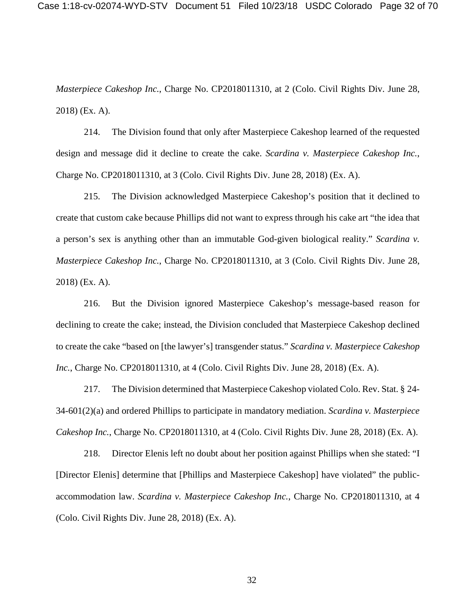*Masterpiece Cakeshop Inc.*, Charge No. CP2018011310, at 2 (Colo. Civil Rights Div. June 28, 2018) (Ex. A).

214. The Division found that only after Masterpiece Cakeshop learned of the requested design and message did it decline to create the cake. *Scardina v. Masterpiece Cakeshop Inc.*, Charge No. CP2018011310, at 3 (Colo. Civil Rights Div. June 28, 2018) (Ex. A).

215. The Division acknowledged Masterpiece Cakeshop's position that it declined to create that custom cake because Phillips did not want to express through his cake art "the idea that a person's sex is anything other than an immutable God-given biological reality." *Scardina v. Masterpiece Cakeshop Inc.*, Charge No. CP2018011310, at 3 (Colo. Civil Rights Div. June 28, 2018) (Ex. A).

216. But the Division ignored Masterpiece Cakeshop's message-based reason for declining to create the cake; instead, the Division concluded that Masterpiece Cakeshop declined to create the cake "based on [the lawyer's] transgender status." *Scardina v. Masterpiece Cakeshop Inc.*, Charge No. CP2018011310, at 4 (Colo. Civil Rights Div. June 28, 2018) (Ex. A).

217. The Division determined that Masterpiece Cakeshop violated Colo. Rev. Stat. § 24- 34-601(2)(a) and ordered Phillips to participate in mandatory mediation. *Scardina v. Masterpiece Cakeshop Inc.*, Charge No. CP2018011310, at 4 (Colo. Civil Rights Div. June 28, 2018) (Ex. A).

218. Director Elenis left no doubt about her position against Phillips when she stated: "I [Director Elenis] determine that [Phillips and Masterpiece Cakeshop] have violated" the publicaccommodation law. *Scardina v. Masterpiece Cakeshop Inc.*, Charge No. CP2018011310, at 4 (Colo. Civil Rights Div. June 28, 2018) (Ex. A).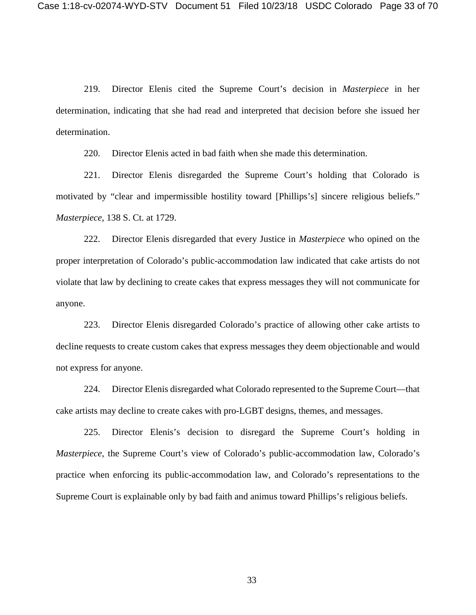219. Director Elenis cited the Supreme Court's decision in *Masterpiece* in her determination, indicating that she had read and interpreted that decision before she issued her determination.

220. Director Elenis acted in bad faith when she made this determination.

221. Director Elenis disregarded the Supreme Court's holding that Colorado is motivated by "clear and impermissible hostility toward [Phillips's] sincere religious beliefs." *Masterpiece*, 138 S. Ct. at 1729.

222. Director Elenis disregarded that every Justice in *Masterpiece* who opined on the proper interpretation of Colorado's public-accommodation law indicated that cake artists do not violate that law by declining to create cakes that express messages they will not communicate for anyone.

223. Director Elenis disregarded Colorado's practice of allowing other cake artists to decline requests to create custom cakes that express messages they deem objectionable and would not express for anyone.

224. Director Elenis disregarded what Colorado represented to the Supreme Court—that cake artists may decline to create cakes with pro-LGBT designs, themes, and messages.

225. Director Elenis's decision to disregard the Supreme Court's holding in *Masterpiece*, the Supreme Court's view of Colorado's public-accommodation law, Colorado's practice when enforcing its public-accommodation law, and Colorado's representations to the Supreme Court is explainable only by bad faith and animus toward Phillips's religious beliefs.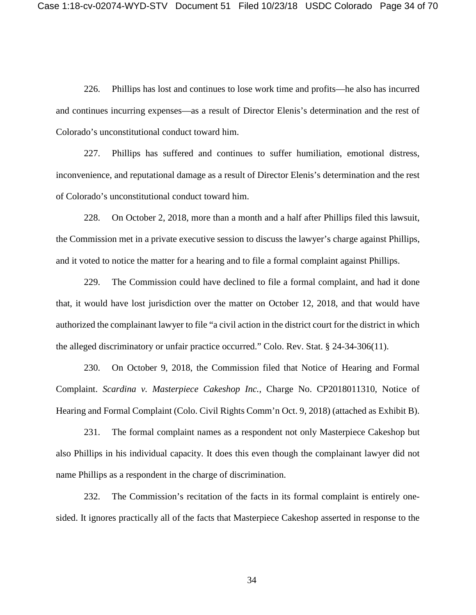226. Phillips has lost and continues to lose work time and profits—he also has incurred and continues incurring expenses—as a result of Director Elenis's determination and the rest of Colorado's unconstitutional conduct toward him.

227. Phillips has suffered and continues to suffer humiliation, emotional distress, inconvenience, and reputational damage as a result of Director Elenis's determination and the rest of Colorado's unconstitutional conduct toward him.

228. On October 2, 2018, more than a month and a half after Phillips filed this lawsuit, the Commission met in a private executive session to discuss the lawyer's charge against Phillips, and it voted to notice the matter for a hearing and to file a formal complaint against Phillips.

229. The Commission could have declined to file a formal complaint, and had it done that, it would have lost jurisdiction over the matter on October 12, 2018, and that would have authorized the complainant lawyer to file "a civil action in the district court for the district in which the alleged discriminatory or unfair practice occurred." Colo. Rev. Stat. § 24-34-306(11).

230. On October 9, 2018, the Commission filed that Notice of Hearing and Formal Complaint. *Scardina v. Masterpiece Cakeshop Inc.*, Charge No. CP2018011310, Notice of Hearing and Formal Complaint (Colo. Civil Rights Comm'n Oct. 9, 2018) (attached as Exhibit B).

231. The formal complaint names as a respondent not only Masterpiece Cakeshop but also Phillips in his individual capacity. It does this even though the complainant lawyer did not name Phillips as a respondent in the charge of discrimination.

232. The Commission's recitation of the facts in its formal complaint is entirely onesided. It ignores practically all of the facts that Masterpiece Cakeshop asserted in response to the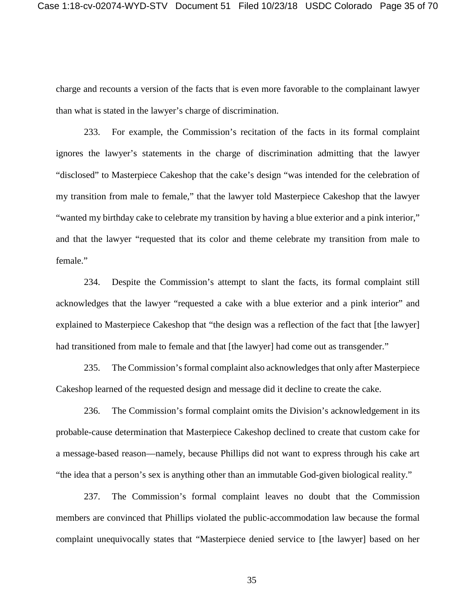charge and recounts a version of the facts that is even more favorable to the complainant lawyer than what is stated in the lawyer's charge of discrimination.

233. For example, the Commission's recitation of the facts in its formal complaint ignores the lawyer's statements in the charge of discrimination admitting that the lawyer "disclosed" to Masterpiece Cakeshop that the cake's design "was intended for the celebration of my transition from male to female," that the lawyer told Masterpiece Cakeshop that the lawyer "wanted my birthday cake to celebrate my transition by having a blue exterior and a pink interior," and that the lawyer "requested that its color and theme celebrate my transition from male to female."

234. Despite the Commission's attempt to slant the facts, its formal complaint still acknowledges that the lawyer "requested a cake with a blue exterior and a pink interior" and explained to Masterpiece Cakeshop that "the design was a reflection of the fact that [the lawyer] had transitioned from male to female and that [the lawyer] had come out as transgender."

235. The Commission's formal complaint also acknowledges that only after Masterpiece Cakeshop learned of the requested design and message did it decline to create the cake.

236. The Commission's formal complaint omits the Division's acknowledgement in its probable-cause determination that Masterpiece Cakeshop declined to create that custom cake for a message-based reason—namely, because Phillips did not want to express through his cake art "the idea that a person's sex is anything other than an immutable God-given biological reality."

237. The Commission's formal complaint leaves no doubt that the Commission members are convinced that Phillips violated the public-accommodation law because the formal complaint unequivocally states that "Masterpiece denied service to [the lawyer] based on her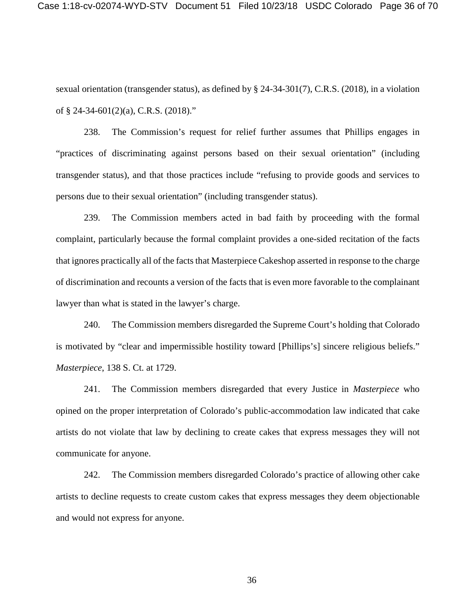Case 1:18-cv-02074-WYD-STV Document 51 Filed 10/23/18 USDC Colorado Page 36 of 70

sexual orientation (transgender status), as defined by § 24-34-301(7), C.R.S. (2018), in a violation of § 24-34-601(2)(a), C.R.S. (2018)."

238. The Commission's request for relief further assumes that Phillips engages in "practices of discriminating against persons based on their sexual orientation" (including transgender status), and that those practices include "refusing to provide goods and services to persons due to their sexual orientation" (including transgender status).

239. The Commission members acted in bad faith by proceeding with the formal complaint, particularly because the formal complaint provides a one-sided recitation of the facts that ignores practically all of the facts that Masterpiece Cakeshop asserted in response to the charge of discrimination and recounts a version of the facts that is even more favorable to the complainant lawyer than what is stated in the lawyer's charge.

240. The Commission members disregarded the Supreme Court's holding that Colorado is motivated by "clear and impermissible hostility toward [Phillips's] sincere religious beliefs." *Masterpiece*, 138 S. Ct. at 1729.

241. The Commission members disregarded that every Justice in *Masterpiece* who opined on the proper interpretation of Colorado's public-accommodation law indicated that cake artists do not violate that law by declining to create cakes that express messages they will not communicate for anyone.

242. The Commission members disregarded Colorado's practice of allowing other cake artists to decline requests to create custom cakes that express messages they deem objectionable and would not express for anyone.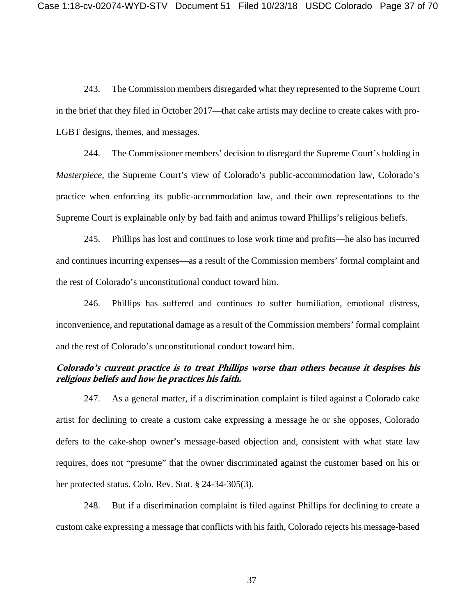243. The Commission members disregarded what they represented to the Supreme Court in the brief that they filed in October 2017—that cake artists may decline to create cakes with pro-LGBT designs, themes, and messages.

244. The Commissioner members' decision to disregard the Supreme Court's holding in *Masterpiece*, the Supreme Court's view of Colorado's public-accommodation law, Colorado's practice when enforcing its public-accommodation law, and their own representations to the Supreme Court is explainable only by bad faith and animus toward Phillips's religious beliefs.

245. Phillips has lost and continues to lose work time and profits—he also has incurred and continues incurring expenses—as a result of the Commission members' formal complaint and the rest of Colorado's unconstitutional conduct toward him.

246. Phillips has suffered and continues to suffer humiliation, emotional distress, inconvenience, and reputational damage as a result of the Commission members' formal complaint and the rest of Colorado's unconstitutional conduct toward him.

# **Colorado's current practice is to treat Phillips worse than others because it despises his religious beliefs and how he practices his faith.**

247. As a general matter, if a discrimination complaint is filed against a Colorado cake artist for declining to create a custom cake expressing a message he or she opposes, Colorado defers to the cake-shop owner's message-based objection and, consistent with what state law requires, does not "presume" that the owner discriminated against the customer based on his or her protected status. Colo. Rev. Stat. § 24-34-305(3).

248. But if a discrimination complaint is filed against Phillips for declining to create a custom cake expressing a message that conflicts with his faith, Colorado rejects his message-based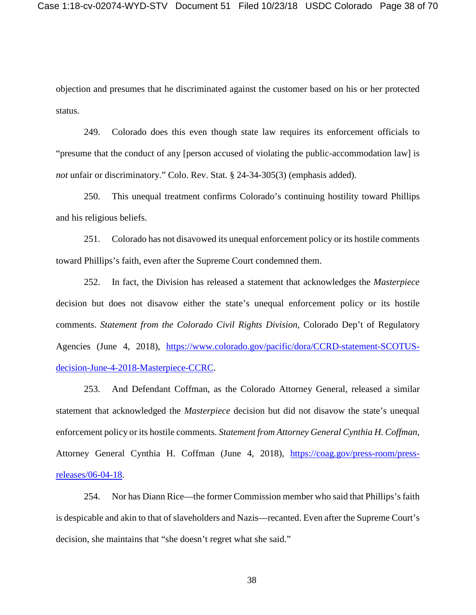objection and presumes that he discriminated against the customer based on his or her protected status.

249. Colorado does this even though state law requires its enforcement officials to "presume that the conduct of any [person accused of violating the public-accommodation law] is *not* unfair or discriminatory." Colo. Rev. Stat. § 24-34-305(3) (emphasis added).

250. This unequal treatment confirms Colorado's continuing hostility toward Phillips and his religious beliefs.

251. Colorado has not disavowed its unequal enforcement policy or its hostile comments toward Phillips's faith, even after the Supreme Court condemned them.

252. In fact, the Division has released a statement that acknowledges the *Masterpiece* decision but does not disavow either the state's unequal enforcement policy or its hostile comments. *Statement from the Colorado Civil Rights Division*, Colorado Dep't of Regulatory Agencies (June 4, 2018), [https://www.colorado.gov/pacific/dora/CCRD-statement-SCOTUS](https://www.colorado.gov/pacific/dora/CCRD-statement-SCOTUS-decision-June-4-2018-Masterpiece-CCRC)[decision-June-4-2018-Masterpiece-CCRC.](https://www.colorado.gov/pacific/dora/CCRD-statement-SCOTUS-decision-June-4-2018-Masterpiece-CCRC)

253. And Defendant Coffman, as the Colorado Attorney General, released a similar statement that acknowledged the *Masterpiece* decision but did not disavow the state's unequal enforcement policy or its hostile comments. *Statement from Attorney General Cynthia H. Coffman*, Attorney General Cynthia H. Coffman (June 4, 2018), [https://coag.gov/press-room/press](https://coag.gov/press-room/press-releases/06-04-18)[releases/06-04-18.](https://coag.gov/press-room/press-releases/06-04-18)

254. Nor has Diann Rice—the former Commission member who said that Phillips's faith is despicable and akin to that of slaveholders and Nazis—recanted. Even after the Supreme Court's decision, she maintains that "she doesn't regret what she said."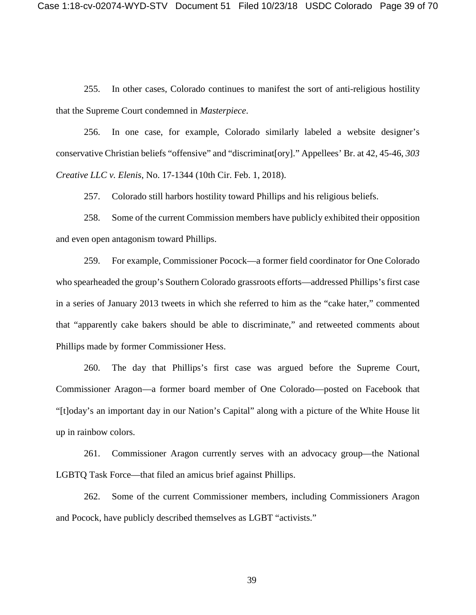255. In other cases, Colorado continues to manifest the sort of anti-religious hostility that the Supreme Court condemned in *Masterpiece*.

256. In one case, for example, Colorado similarly labeled a website designer's conservative Christian beliefs "offensive" and "discriminat[ory]." Appellees' Br. at 42, 45-46, *303 Creative LLC v. Elenis*, No. 17-1344 (10th Cir. Feb. 1, 2018).

257. Colorado still harbors hostility toward Phillips and his religious beliefs.

258. Some of the current Commission members have publicly exhibited their opposition and even open antagonism toward Phillips.

259. For example, Commissioner Pocock—a former field coordinator for One Colorado who spearheaded the group's Southern Colorado grassroots efforts—addressed Phillips's first case in a series of January 2013 tweets in which she referred to him as the "cake hater," commented that "apparently cake bakers should be able to discriminate," and retweeted comments about Phillips made by former Commissioner Hess.

260. The day that Phillips's first case was argued before the Supreme Court, Commissioner Aragon—a former board member of One Colorado—posted on Facebook that "[t]oday's an important day in our Nation's Capital" along with a picture of the White House lit up in rainbow colors.

261. Commissioner Aragon currently serves with an advocacy group—the National LGBTQ Task Force—that filed an amicus brief against Phillips.

262. Some of the current Commissioner members, including Commissioners Aragon and Pocock, have publicly described themselves as LGBT "activists."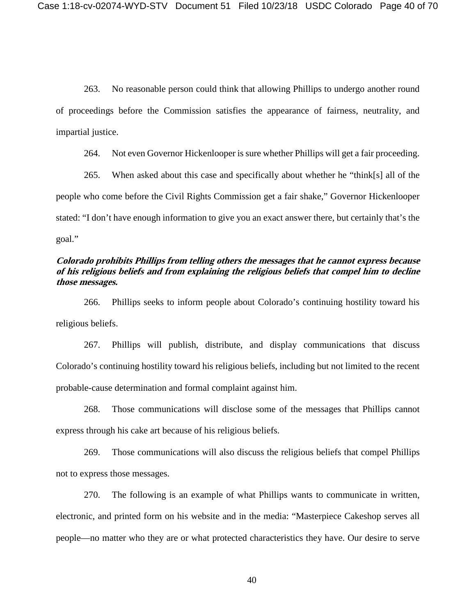263. No reasonable person could think that allowing Phillips to undergo another round of proceedings before the Commission satisfies the appearance of fairness, neutrality, and impartial justice.

264. Not even Governor Hickenlooper is sure whether Phillips will get a fair proceeding.

265. When asked about this case and specifically about whether he "think[s] all of the people who come before the Civil Rights Commission get a fair shake," Governor Hickenlooper stated: "I don't have enough information to give you an exact answer there, but certainly that's the goal."

# **Colorado prohibits Phillips from telling others the messages that he cannot express because of his religious beliefs and from explaining the religious beliefs that compel him to decline those messages.**

266. Phillips seeks to inform people about Colorado's continuing hostility toward his religious beliefs.

267. Phillips will publish, distribute, and display communications that discuss Colorado's continuing hostility toward his religious beliefs, including but not limited to the recent probable-cause determination and formal complaint against him.

268. Those communications will disclose some of the messages that Phillips cannot express through his cake art because of his religious beliefs.

269. Those communications will also discuss the religious beliefs that compel Phillips not to express those messages.

270. The following is an example of what Phillips wants to communicate in written, electronic, and printed form on his website and in the media: "Masterpiece Cakeshop serves all people—no matter who they are or what protected characteristics they have. Our desire to serve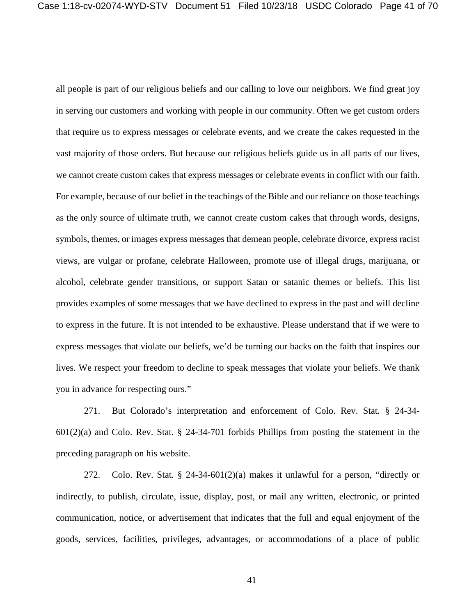all people is part of our religious beliefs and our calling to love our neighbors. We find great joy in serving our customers and working with people in our community. Often we get custom orders that require us to express messages or celebrate events, and we create the cakes requested in the vast majority of those orders. But because our religious beliefs guide us in all parts of our lives, we cannot create custom cakes that express messages or celebrate events in conflict with our faith. For example, because of our belief in the teachings of the Bible and our reliance on those teachings as the only source of ultimate truth, we cannot create custom cakes that through words, designs, symbols, themes, or images express messages that demean people, celebrate divorce, express racist views, are vulgar or profane, celebrate Halloween, promote use of illegal drugs, marijuana, or alcohol, celebrate gender transitions, or support Satan or satanic themes or beliefs. This list provides examples of some messages that we have declined to express in the past and will decline to express in the future. It is not intended to be exhaustive. Please understand that if we were to express messages that violate our beliefs, we'd be turning our backs on the faith that inspires our lives. We respect your freedom to decline to speak messages that violate your beliefs. We thank you in advance for respecting ours."

271. But Colorado's interpretation and enforcement of Colo. Rev. Stat. § 24-34-  $601(2)(a)$  and Colo. Rev. Stat. § 24-34-701 forbids Phillips from posting the statement in the preceding paragraph on his website.

272. Colo. Rev. Stat.  $\S$  24-34-601(2)(a) makes it unlawful for a person, "directly or indirectly, to publish, circulate, issue, display, post, or mail any written, electronic, or printed communication, notice, or advertisement that indicates that the full and equal enjoyment of the goods, services, facilities, privileges, advantages, or accommodations of a place of public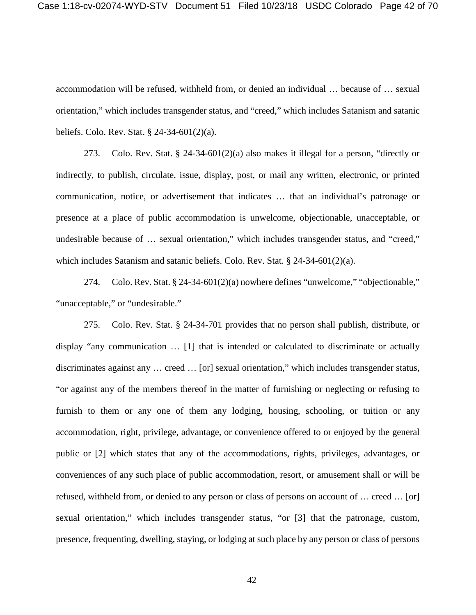Case 1:18-cv-02074-WYD-STV Document 51 Filed 10/23/18 USDC Colorado Page 42 of 70

accommodation will be refused, withheld from, or denied an individual … because of … sexual orientation," which includes transgender status, and "creed," which includes Satanism and satanic beliefs. Colo. Rev. Stat. § 24-34-601(2)(a).

273. Colo. Rev. Stat. § 24-34-601(2)(a) also makes it illegal for a person, "directly or indirectly, to publish, circulate, issue, display, post, or mail any written, electronic, or printed communication, notice, or advertisement that indicates … that an individual's patronage or presence at a place of public accommodation is unwelcome, objectionable, unacceptable, or undesirable because of … sexual orientation," which includes transgender status, and "creed," which includes Satanism and satanic beliefs. Colo. Rev. Stat.  $\S 24-34-601(2)(a)$ .

274. Colo. Rev. Stat. § 24-34-601(2)(a) nowhere defines "unwelcome," "objectionable," "unacceptable," or "undesirable."

275. Colo. Rev. Stat. § 24-34-701 provides that no person shall publish, distribute, or display "any communication … [1] that is intended or calculated to discriminate or actually discriminates against any … creed … [or] sexual orientation," which includes transgender status, "or against any of the members thereof in the matter of furnishing or neglecting or refusing to furnish to them or any one of them any lodging, housing, schooling, or tuition or any accommodation, right, privilege, advantage, or convenience offered to or enjoyed by the general public or [2] which states that any of the accommodations, rights, privileges, advantages, or conveniences of any such place of public accommodation, resort, or amusement shall or will be refused, withheld from, or denied to any person or class of persons on account of … creed … [or] sexual orientation," which includes transgender status, "or [3] that the patronage, custom, presence, frequenting, dwelling, staying, or lodging at such place by any person or class of persons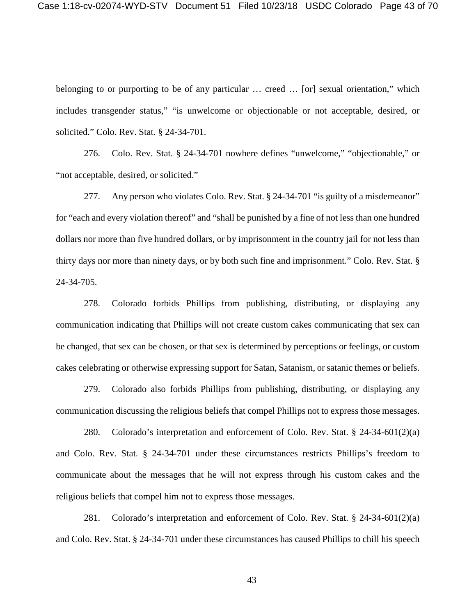belonging to or purporting to be of any particular ... creed ... [or] sexual orientation," which includes transgender status," "is unwelcome or objectionable or not acceptable, desired, or solicited." Colo. Rev. Stat. § 24-34-701.

276. Colo. Rev. Stat. § 24-34-701 nowhere defines "unwelcome," "objectionable," or "not acceptable, desired, or solicited."

277. Any person who violates Colo. Rev. Stat. § 24-34-701 "is guilty of a misdemeanor" for "each and every violation thereof" and "shall be punished by a fine of not less than one hundred dollars nor more than five hundred dollars, or by imprisonment in the country jail for not less than thirty days nor more than ninety days, or by both such fine and imprisonment." Colo. Rev. Stat. § 24-34-705.

278. Colorado forbids Phillips from publishing, distributing, or displaying any communication indicating that Phillips will not create custom cakes communicating that sex can be changed, that sex can be chosen, or that sex is determined by perceptions or feelings, or custom cakes celebrating or otherwise expressing support for Satan, Satanism, or satanic themes or beliefs.

279. Colorado also forbids Phillips from publishing, distributing, or displaying any communication discussing the religious beliefs that compel Phillips not to express those messages.

280. Colorado's interpretation and enforcement of Colo. Rev. Stat. § 24-34-601(2)(a) and Colo. Rev. Stat. § 24-34-701 under these circumstances restricts Phillips's freedom to communicate about the messages that he will not express through his custom cakes and the religious beliefs that compel him not to express those messages.

281. Colorado's interpretation and enforcement of Colo. Rev. Stat. § 24-34-601(2)(a) and Colo. Rev. Stat. § 24-34-701 under these circumstances has caused Phillips to chill his speech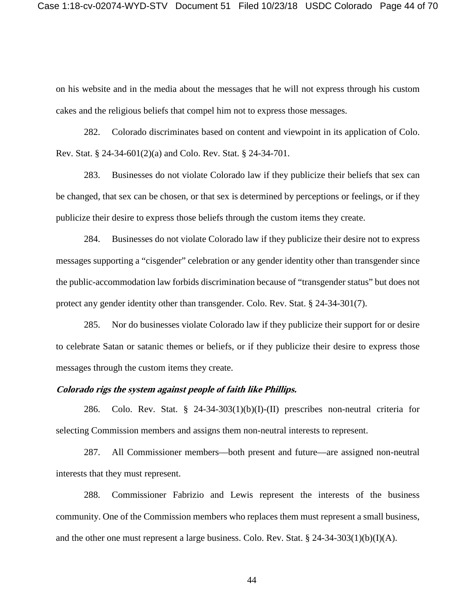on his website and in the media about the messages that he will not express through his custom cakes and the religious beliefs that compel him not to express those messages.

282. Colorado discriminates based on content and viewpoint in its application of Colo. Rev. Stat. § 24-34-601(2)(a) and Colo. Rev. Stat. § 24-34-701.

283. Businesses do not violate Colorado law if they publicize their beliefs that sex can be changed, that sex can be chosen, or that sex is determined by perceptions or feelings, or if they publicize their desire to express those beliefs through the custom items they create.

284. Businesses do not violate Colorado law if they publicize their desire not to express messages supporting a "cisgender" celebration or any gender identity other than transgender since the public-accommodation law forbids discrimination because of "transgender status" but does not protect any gender identity other than transgender. Colo. Rev. Stat. § 24-34-301(7).

285. Nor do businesses violate Colorado law if they publicize their support for or desire to celebrate Satan or satanic themes or beliefs, or if they publicize their desire to express those messages through the custom items they create.

## **Colorado rigs the system against people of faith like Phillips.**

286. Colo. Rev. Stat.  $\S$  24-34-303(1)(b)(I)-(II) prescribes non-neutral criteria for selecting Commission members and assigns them non-neutral interests to represent.

287. All Commissioner members—both present and future—are assigned non-neutral interests that they must represent.

288. Commissioner Fabrizio and Lewis represent the interests of the business community. One of the Commission members who replaces them must represent a small business, and the other one must represent a large business. Colo. Rev. Stat. § 24-34-303(1)(b)(I)(A).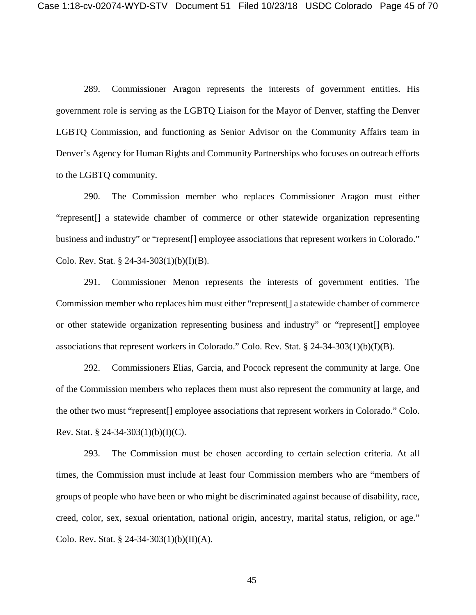289. Commissioner Aragon represents the interests of government entities. His government role is serving as the LGBTQ Liaison for the Mayor of Denver, staffing the Denver LGBTQ Commission, and functioning as Senior Advisor on the Community Affairs team in Denver's Agency for Human Rights and Community Partnerships who focuses on outreach efforts to the LGBTQ community.

290. The Commission member who replaces Commissioner Aragon must either "represent[] a statewide chamber of commerce or other statewide organization representing business and industry" or "represent[] employee associations that represent workers in Colorado." Colo. Rev. Stat. § 24-34-303(1)(b)(I)(B).

291. Commissioner Menon represents the interests of government entities. The Commission member who replaces him must either "represent[] a statewide chamber of commerce or other statewide organization representing business and industry" or "represent[] employee associations that represent workers in Colorado." Colo. Rev. Stat.  $\S$  24-34-303(1)(b)(I)(B).

292. Commissioners Elias, Garcia, and Pocock represent the community at large. One of the Commission members who replaces them must also represent the community at large, and the other two must "represent[] employee associations that represent workers in Colorado." Colo. Rev. Stat. § 24-34-303(1)(b)(I)(C).

293. The Commission must be chosen according to certain selection criteria. At all times, the Commission must include at least four Commission members who are "members of groups of people who have been or who might be discriminated against because of disability, race, creed, color, sex, sexual orientation, national origin, ancestry, marital status, religion, or age." Colo. Rev. Stat. § 24-34-303(1)(b)(II)(A).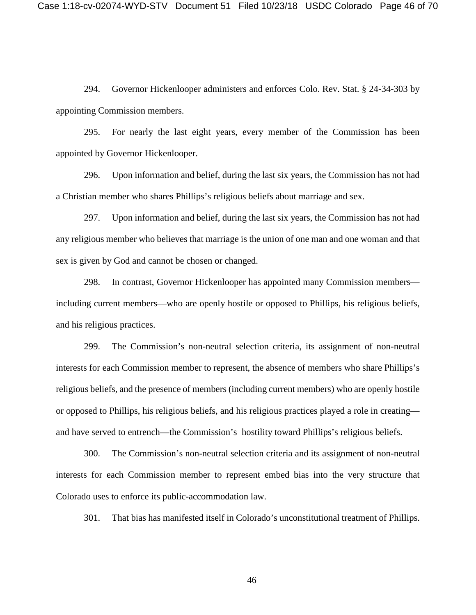294. Governor Hickenlooper administers and enforces Colo. Rev. Stat. § 24-34-303 by appointing Commission members.

295. For nearly the last eight years, every member of the Commission has been appointed by Governor Hickenlooper.

296. Upon information and belief, during the last six years, the Commission has not had a Christian member who shares Phillips's religious beliefs about marriage and sex.

297. Upon information and belief, during the last six years, the Commission has not had any religious member who believes that marriage is the union of one man and one woman and that sex is given by God and cannot be chosen or changed.

298. In contrast, Governor Hickenlooper has appointed many Commission members including current members—who are openly hostile or opposed to Phillips, his religious beliefs, and his religious practices.

299. The Commission's non-neutral selection criteria, its assignment of non-neutral interests for each Commission member to represent, the absence of members who share Phillips's religious beliefs, and the presence of members (including current members) who are openly hostile or opposed to Phillips, his religious beliefs, and his religious practices played a role in creating and have served to entrench—the Commission's hostility toward Phillips's religious beliefs.

300. The Commission's non-neutral selection criteria and its assignment of non-neutral interests for each Commission member to represent embed bias into the very structure that Colorado uses to enforce its public-accommodation law.

301. That bias has manifested itself in Colorado's unconstitutional treatment of Phillips.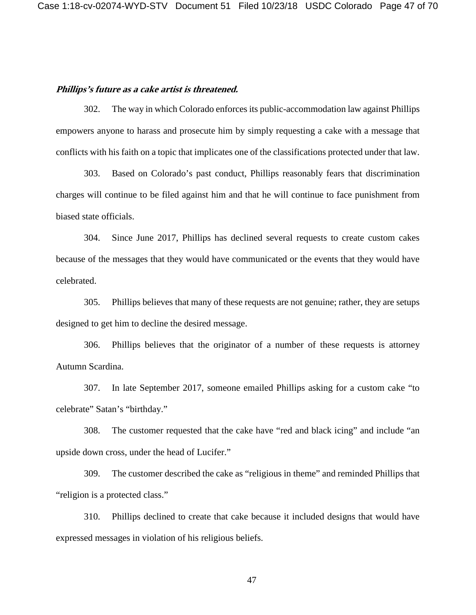#### **Phillips's future as a cake artist is threatened.**

302. The way in which Colorado enforces its public-accommodation law against Phillips empowers anyone to harass and prosecute him by simply requesting a cake with a message that conflicts with his faith on a topic that implicates one of the classifications protected under that law.

303. Based on Colorado's past conduct, Phillips reasonably fears that discrimination charges will continue to be filed against him and that he will continue to face punishment from biased state officials.

304. Since June 2017, Phillips has declined several requests to create custom cakes because of the messages that they would have communicated or the events that they would have celebrated.

305. Phillips believes that many of these requests are not genuine; rather, they are setups designed to get him to decline the desired message.

306. Phillips believes that the originator of a number of these requests is attorney Autumn Scardina.

307. In late September 2017, someone emailed Phillips asking for a custom cake "to celebrate" Satan's "birthday."

308. The customer requested that the cake have "red and black icing" and include "an upside down cross, under the head of Lucifer."

309. The customer described the cake as "religious in theme" and reminded Phillips that "religion is a protected class."

310. Phillips declined to create that cake because it included designs that would have expressed messages in violation of his religious beliefs.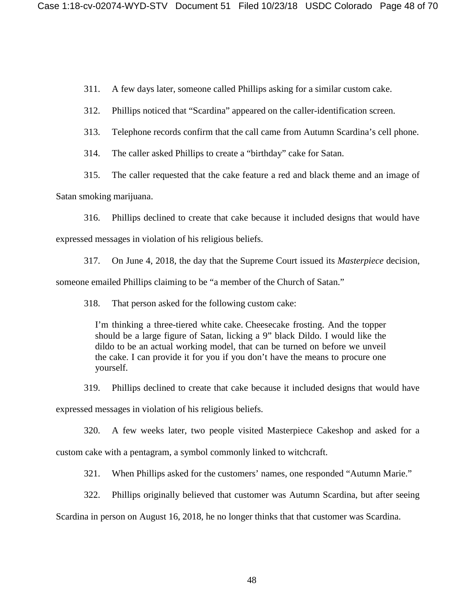311. A few days later, someone called Phillips asking for a similar custom cake.

312. Phillips noticed that "Scardina" appeared on the caller-identification screen.

313. Telephone records confirm that the call came from Autumn Scardina's cell phone.

314. The caller asked Phillips to create a "birthday" cake for Satan.

315. The caller requested that the cake feature a red and black theme and an image of

Satan smoking marijuana.

316. Phillips declined to create that cake because it included designs that would have expressed messages in violation of his religious beliefs.

317. On June 4, 2018, the day that the Supreme Court issued its *Masterpiece* decision, someone emailed Phillips claiming to be "a member of the Church of Satan."

318. That person asked for the following custom cake:

I'm thinking a three-tiered white cake. Cheesecake frosting. And the topper should be a large figure of Satan, licking a 9" black Dildo. I would like the dildo to be an actual working model, that can be turned on before we unveil the cake. I can provide it for you if you don't have the means to procure one yourself.

319. Phillips declined to create that cake because it included designs that would have expressed messages in violation of his religious beliefs.

320. A few weeks later, two people visited Masterpiece Cakeshop and asked for a

custom cake with a pentagram, a symbol commonly linked to witchcraft.

321. When Phillips asked for the customers' names, one responded "Autumn Marie."

322. Phillips originally believed that customer was Autumn Scardina, but after seeing

Scardina in person on August 16, 2018, he no longer thinks that that customer was Scardina.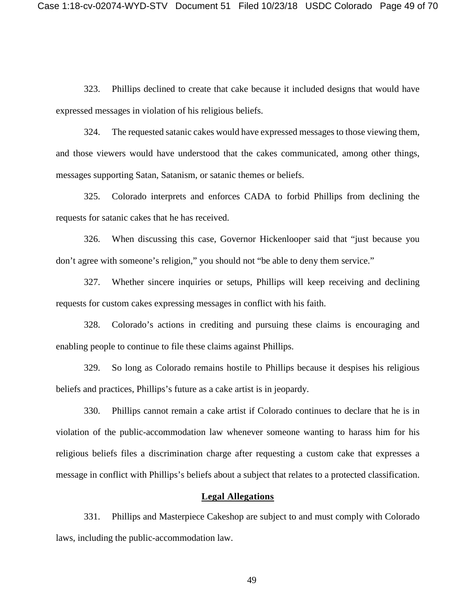323. Phillips declined to create that cake because it included designs that would have expressed messages in violation of his religious beliefs.

324. The requested satanic cakes would have expressed messages to those viewing them, and those viewers would have understood that the cakes communicated, among other things, messages supporting Satan, Satanism, or satanic themes or beliefs.

325. Colorado interprets and enforces CADA to forbid Phillips from declining the requests for satanic cakes that he has received.

326. When discussing this case, Governor Hickenlooper said that "just because you don't agree with someone's religion," you should not "be able to deny them service."

327. Whether sincere inquiries or setups, Phillips will keep receiving and declining requests for custom cakes expressing messages in conflict with his faith.

328. Colorado's actions in crediting and pursuing these claims is encouraging and enabling people to continue to file these claims against Phillips.

329. So long as Colorado remains hostile to Phillips because it despises his religious beliefs and practices, Phillips's future as a cake artist is in jeopardy.

330. Phillips cannot remain a cake artist if Colorado continues to declare that he is in violation of the public-accommodation law whenever someone wanting to harass him for his religious beliefs files a discrimination charge after requesting a custom cake that expresses a message in conflict with Phillips's beliefs about a subject that relates to a protected classification.

## **Legal Allegations**

331. Phillips and Masterpiece Cakeshop are subject to and must comply with Colorado laws, including the public-accommodation law.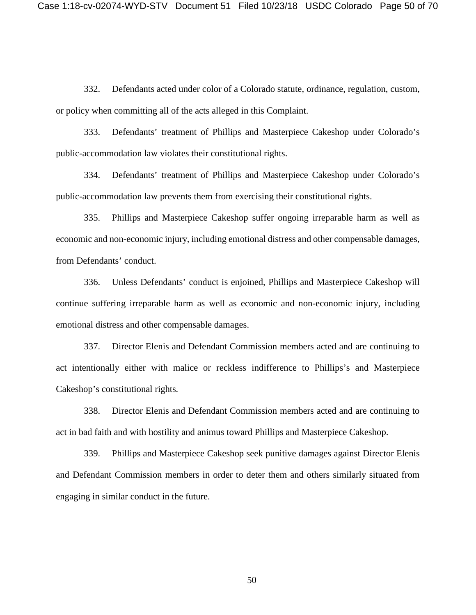332. Defendants acted under color of a Colorado statute, ordinance, regulation, custom, or policy when committing all of the acts alleged in this Complaint.

333. Defendants' treatment of Phillips and Masterpiece Cakeshop under Colorado's public-accommodation law violates their constitutional rights.

334. Defendants' treatment of Phillips and Masterpiece Cakeshop under Colorado's public-accommodation law prevents them from exercising their constitutional rights.

335. Phillips and Masterpiece Cakeshop suffer ongoing irreparable harm as well as economic and non-economic injury, including emotional distress and other compensable damages, from Defendants' conduct.

336. Unless Defendants' conduct is enjoined, Phillips and Masterpiece Cakeshop will continue suffering irreparable harm as well as economic and non-economic injury, including emotional distress and other compensable damages.

337. Director Elenis and Defendant Commission members acted and are continuing to act intentionally either with malice or reckless indifference to Phillips's and Masterpiece Cakeshop's constitutional rights*.*

338. Director Elenis and Defendant Commission members acted and are continuing to act in bad faith and with hostility and animus toward Phillips and Masterpiece Cakeshop.

339. Phillips and Masterpiece Cakeshop seek punitive damages against Director Elenis and Defendant Commission members in order to deter them and others similarly situated from engaging in similar conduct in the future.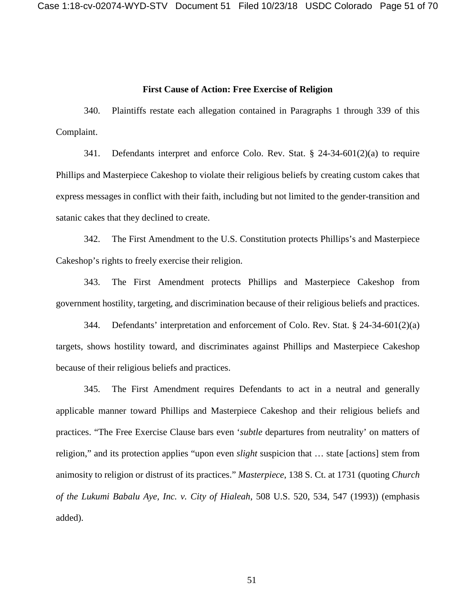### **First Cause of Action: Free Exercise of Religion**

340. Plaintiffs restate each allegation contained in Paragraphs 1 through 339 of this Complaint.

341. Defendants interpret and enforce Colo. Rev. Stat. § 24-34-601(2)(a) to require Phillips and Masterpiece Cakeshop to violate their religious beliefs by creating custom cakes that express messages in conflict with their faith, including but not limited to the gender-transition and satanic cakes that they declined to create.

342. The First Amendment to the U.S. Constitution protects Phillips's and Masterpiece Cakeshop's rights to freely exercise their religion.

343. The First Amendment protects Phillips and Masterpiece Cakeshop from government hostility, targeting, and discrimination because of their religious beliefs and practices.

344. Defendants' interpretation and enforcement of Colo. Rev. Stat. § 24-34-601(2)(a) targets, shows hostility toward, and discriminates against Phillips and Masterpiece Cakeshop because of their religious beliefs and practices.

345. The First Amendment requires Defendants to act in a neutral and generally applicable manner toward Phillips and Masterpiece Cakeshop and their religious beliefs and practices. "The Free Exercise Clause bars even '*subtle* departures from neutrality' on matters of religion," and its protection applies "upon even *slight* suspicion that … state [actions] stem from animosity to religion or distrust of its practices." *Masterpiece*, 138 S. Ct. at 1731 (quoting *Church of the Lukumi Babalu Aye, Inc. v. City of Hialeah*, 508 U.S. 520, 534, 547 (1993)) (emphasis added).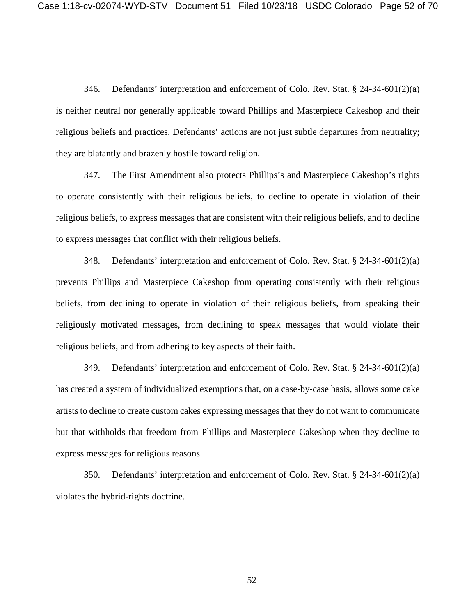346. Defendants' interpretation and enforcement of Colo. Rev. Stat. § 24-34-601(2)(a) is neither neutral nor generally applicable toward Phillips and Masterpiece Cakeshop and their religious beliefs and practices. Defendants' actions are not just subtle departures from neutrality; they are blatantly and brazenly hostile toward religion.

347. The First Amendment also protects Phillips's and Masterpiece Cakeshop's rights to operate consistently with their religious beliefs, to decline to operate in violation of their religious beliefs, to express messages that are consistent with their religious beliefs, and to decline to express messages that conflict with their religious beliefs.

348. Defendants' interpretation and enforcement of Colo. Rev. Stat. § 24-34-601(2)(a) prevents Phillips and Masterpiece Cakeshop from operating consistently with their religious beliefs, from declining to operate in violation of their religious beliefs, from speaking their religiously motivated messages, from declining to speak messages that would violate their religious beliefs, and from adhering to key aspects of their faith.

349. Defendants' interpretation and enforcement of Colo. Rev. Stat. § 24-34-601(2)(a) has created a system of individualized exemptions that, on a case-by-case basis, allows some cake artists to decline to create custom cakes expressing messages that they do not want to communicate but that withholds that freedom from Phillips and Masterpiece Cakeshop when they decline to express messages for religious reasons.

350. Defendants' interpretation and enforcement of Colo. Rev. Stat. § 24-34-601(2)(a) violates the hybrid-rights doctrine.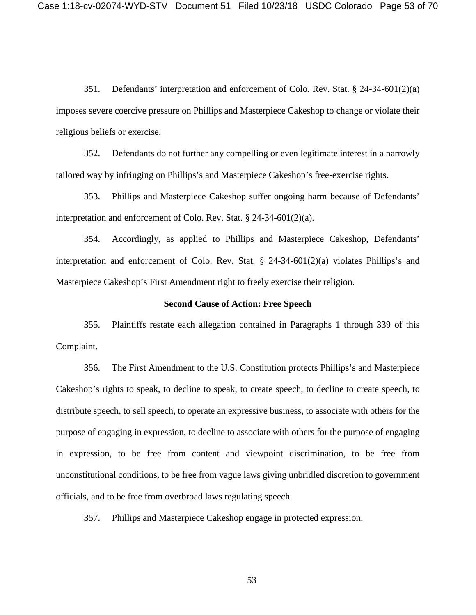351. Defendants' interpretation and enforcement of Colo. Rev. Stat. § 24-34-601(2)(a) imposes severe coercive pressure on Phillips and Masterpiece Cakeshop to change or violate their religious beliefs or exercise.

352. Defendants do not further any compelling or even legitimate interest in a narrowly tailored way by infringing on Phillips's and Masterpiece Cakeshop's free-exercise rights.

353. Phillips and Masterpiece Cakeshop suffer ongoing harm because of Defendants' interpretation and enforcement of Colo. Rev. Stat. § 24-34-601(2)(a).

354. Accordingly, as applied to Phillips and Masterpiece Cakeshop, Defendants' interpretation and enforcement of Colo. Rev. Stat. § 24-34-601(2)(a) violates Phillips's and Masterpiece Cakeshop's First Amendment right to freely exercise their religion.

#### **Second Cause of Action: Free Speech**

355. Plaintiffs restate each allegation contained in Paragraphs 1 through 339 of this Complaint.

356. The First Amendment to the U.S. Constitution protects Phillips's and Masterpiece Cakeshop's rights to speak, to decline to speak, to create speech, to decline to create speech, to distribute speech, to sell speech, to operate an expressive business, to associate with others for the purpose of engaging in expression, to decline to associate with others for the purpose of engaging in expression, to be free from content and viewpoint discrimination, to be free from unconstitutional conditions, to be free from vague laws giving unbridled discretion to government officials, and to be free from overbroad laws regulating speech.

357. Phillips and Masterpiece Cakeshop engage in protected expression.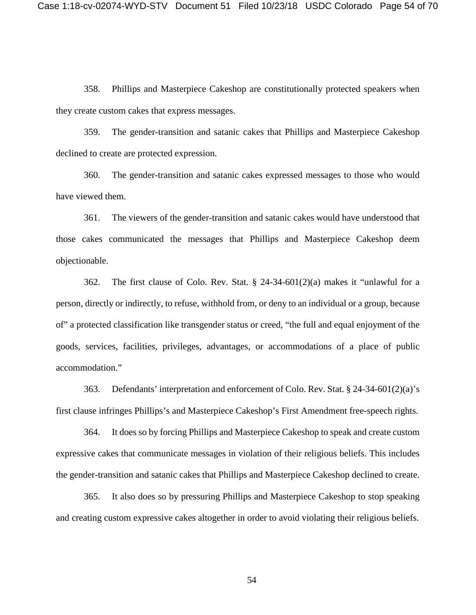358. Phillips and Masterpiece Cakeshop are constitutionally protected speakers when they create custom cakes that express messages.

359. The gender-transition and satanic cakes that Phillips and Masterpiece Cakeshop declined to create are protected expression.

360. The gender-transition and satanic cakes expressed messages to those who would have viewed them.

361. The viewers of the gender-transition and satanic cakes would have understood that those cakes communicated the messages that Phillips and Masterpiece Cakeshop deem objectionable.

362. The first clause of Colo. Rev. Stat. § 24-34-601(2)(a) makes it "unlawful for a person, directly or indirectly, to refuse, withhold from, or deny to an individual or a group, because of" a protected classification like transgender status or creed, "the full and equal enjoyment of the goods, services, facilities, privileges, advantages, or accommodations of a place of public accommodation."

363. Defendants' interpretation and enforcement of Colo. Rev. Stat. § 24-34-601(2)(a)'s first clause infringes Phillips's and Masterpiece Cakeshop's First Amendment free-speech rights.

364. It does so by forcing Phillips and Masterpiece Cakeshop to speak and create custom expressive cakes that communicate messages in violation of their religious beliefs. This includes the gender-transition and satanic cakes that Phillips and Masterpiece Cakeshop declined to create.

365. It also does so by pressuring Phillips and Masterpiece Cakeshop to stop speaking and creating custom expressive cakes altogether in order to avoid violating their religious beliefs.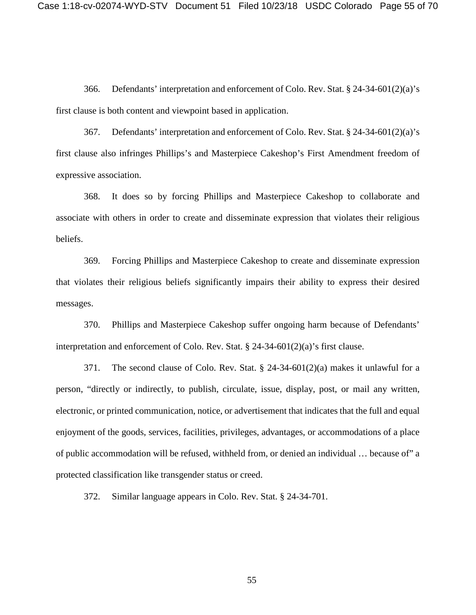366. Defendants' interpretation and enforcement of Colo. Rev. Stat. § 24-34-601(2)(a)'s first clause is both content and viewpoint based in application.

367. Defendants' interpretation and enforcement of Colo. Rev. Stat. § 24-34-601(2)(a)'s first clause also infringes Phillips's and Masterpiece Cakeshop's First Amendment freedom of expressive association.

368. It does so by forcing Phillips and Masterpiece Cakeshop to collaborate and associate with others in order to create and disseminate expression that violates their religious beliefs.

369. Forcing Phillips and Masterpiece Cakeshop to create and disseminate expression that violates their religious beliefs significantly impairs their ability to express their desired messages.

370. Phillips and Masterpiece Cakeshop suffer ongoing harm because of Defendants' interpretation and enforcement of Colo. Rev. Stat. § 24-34-601(2)(a)'s first clause.

371. The second clause of Colo. Rev. Stat. § 24-34-601(2)(a) makes it unlawful for a person, "directly or indirectly, to publish, circulate, issue, display, post, or mail any written, electronic, or printed communication, notice, or advertisement that indicates that the full and equal enjoyment of the goods, services, facilities, privileges, advantages, or accommodations of a place of public accommodation will be refused, withheld from, or denied an individual … because of" a protected classification like transgender status or creed.

372. Similar language appears in Colo. Rev. Stat. § 24-34-701.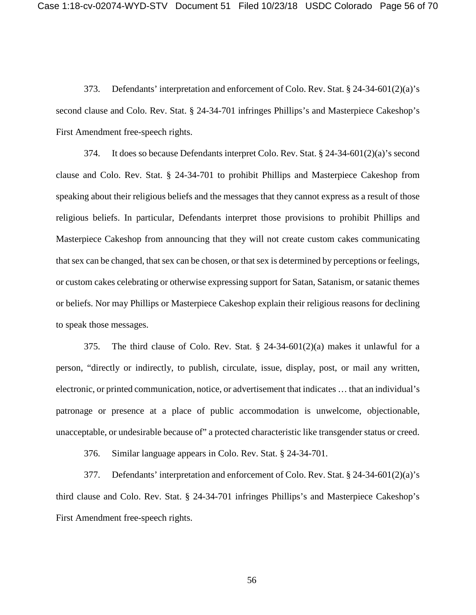373. Defendants' interpretation and enforcement of Colo. Rev. Stat. § 24-34-601(2)(a)'s second clause and Colo. Rev. Stat. § 24-34-701 infringes Phillips's and Masterpiece Cakeshop's First Amendment free-speech rights.

374. It does so because Defendants interpret Colo. Rev. Stat. § 24-34-601(2)(a)'s second clause and Colo. Rev. Stat. § 24-34-701 to prohibit Phillips and Masterpiece Cakeshop from speaking about their religious beliefs and the messages that they cannot express as a result of those religious beliefs. In particular, Defendants interpret those provisions to prohibit Phillips and Masterpiece Cakeshop from announcing that they will not create custom cakes communicating that sex can be changed, that sex can be chosen, or that sex is determined by perceptions or feelings, or custom cakes celebrating or otherwise expressing support for Satan, Satanism, or satanic themes or beliefs. Nor may Phillips or Masterpiece Cakeshop explain their religious reasons for declining to speak those messages.

375. The third clause of Colo. Rev. Stat. § 24-34-601(2)(a) makes it unlawful for a person, "directly or indirectly, to publish, circulate, issue, display, post, or mail any written, electronic, or printed communication, notice, or advertisement that indicates … that an individual's patronage or presence at a place of public accommodation is unwelcome, objectionable, unacceptable, or undesirable because of" a protected characteristic like transgender status or creed.

376. Similar language appears in Colo. Rev. Stat. § 24-34-701.

377. Defendants' interpretation and enforcement of Colo. Rev. Stat. § 24-34-601(2)(a)'s third clause and Colo. Rev. Stat. § 24-34-701 infringes Phillips's and Masterpiece Cakeshop's First Amendment free-speech rights.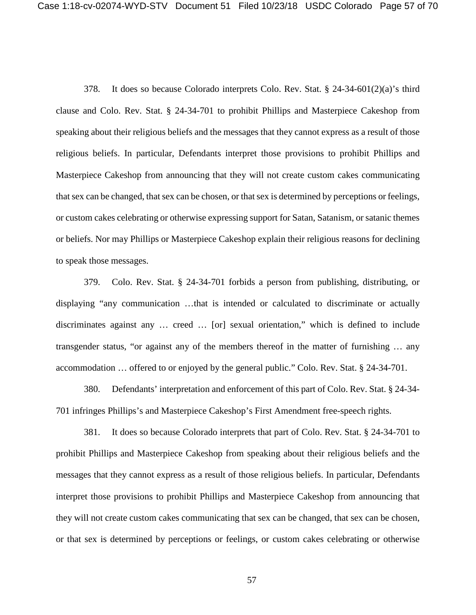378. It does so because Colorado interprets Colo. Rev. Stat. § 24-34-601(2)(a)'s third clause and Colo. Rev. Stat. § 24-34-701 to prohibit Phillips and Masterpiece Cakeshop from speaking about their religious beliefs and the messages that they cannot express as a result of those religious beliefs. In particular, Defendants interpret those provisions to prohibit Phillips and Masterpiece Cakeshop from announcing that they will not create custom cakes communicating that sex can be changed, that sex can be chosen, or that sex is determined by perceptions or feelings, or custom cakes celebrating or otherwise expressing support for Satan, Satanism, or satanic themes or beliefs. Nor may Phillips or Masterpiece Cakeshop explain their religious reasons for declining to speak those messages.

379. Colo. Rev. Stat. § 24-34-701 forbids a person from publishing, distributing, or displaying "any communication …that is intended or calculated to discriminate or actually discriminates against any … creed … [or] sexual orientation," which is defined to include transgender status, "or against any of the members thereof in the matter of furnishing … any accommodation … offered to or enjoyed by the general public." Colo. Rev. Stat. § 24-34-701.

380. Defendants' interpretation and enforcement of this part of Colo. Rev. Stat. § 24-34- 701 infringes Phillips's and Masterpiece Cakeshop's First Amendment free-speech rights.

381. It does so because Colorado interprets that part of Colo. Rev. Stat. § 24-34-701 to prohibit Phillips and Masterpiece Cakeshop from speaking about their religious beliefs and the messages that they cannot express as a result of those religious beliefs. In particular, Defendants interpret those provisions to prohibit Phillips and Masterpiece Cakeshop from announcing that they will not create custom cakes communicating that sex can be changed, that sex can be chosen, or that sex is determined by perceptions or feelings, or custom cakes celebrating or otherwise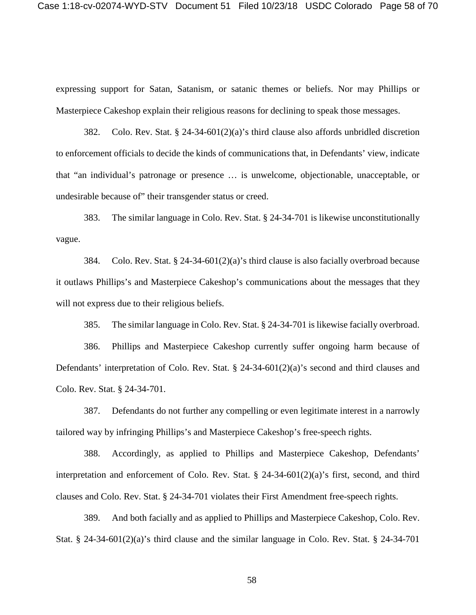expressing support for Satan, Satanism, or satanic themes or beliefs. Nor may Phillips or Masterpiece Cakeshop explain their religious reasons for declining to speak those messages.

382. Colo. Rev. Stat. § 24-34-601(2)(a)'s third clause also affords unbridled discretion to enforcement officials to decide the kinds of communications that, in Defendants' view, indicate that "an individual's patronage or presence … is unwelcome, objectionable, unacceptable, or undesirable because of" their transgender status or creed.

383. The similar language in Colo. Rev. Stat. § 24-34-701 is likewise unconstitutionally vague.

384. Colo. Rev. Stat. § 24-34-601(2)(a)'s third clause is also facially overbroad because it outlaws Phillips's and Masterpiece Cakeshop's communications about the messages that they will not express due to their religious beliefs.

385. The similar language in Colo. Rev. Stat. § 24-34-701 is likewise facially overbroad.

386. Phillips and Masterpiece Cakeshop currently suffer ongoing harm because of Defendants' interpretation of Colo. Rev. Stat. § 24-34-601(2)(a)'s second and third clauses and Colo. Rev. Stat. § 24-34-701.

387. Defendants do not further any compelling or even legitimate interest in a narrowly tailored way by infringing Phillips's and Masterpiece Cakeshop's free-speech rights.

388. Accordingly, as applied to Phillips and Masterpiece Cakeshop, Defendants' interpretation and enforcement of Colo. Rev. Stat.  $\S$  24-34-601(2)(a)'s first, second, and third clauses and Colo. Rev. Stat. § 24-34-701 violates their First Amendment free-speech rights.

389. And both facially and as applied to Phillips and Masterpiece Cakeshop, Colo. Rev. Stat. § 24-34-601(2)(a)'s third clause and the similar language in Colo. Rev. Stat. § 24-34-701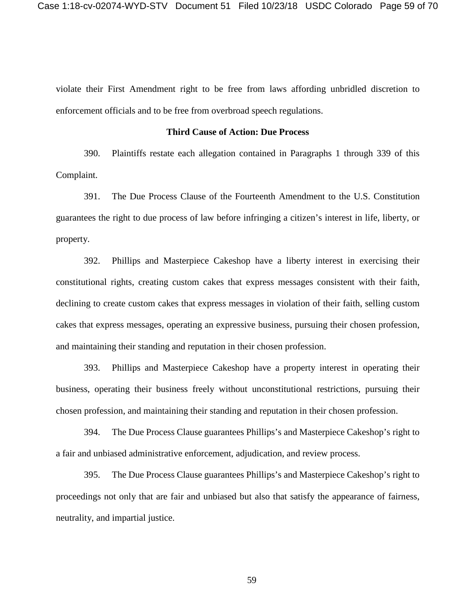violate their First Amendment right to be free from laws affording unbridled discretion to enforcement officials and to be free from overbroad speech regulations.

#### **Third Cause of Action: Due Process**

390. Plaintiffs restate each allegation contained in Paragraphs 1 through 339 of this Complaint.

391. The Due Process Clause of the Fourteenth Amendment to the U.S. Constitution guarantees the right to due process of law before infringing a citizen's interest in life, liberty, or property.

392. Phillips and Masterpiece Cakeshop have a liberty interest in exercising their constitutional rights, creating custom cakes that express messages consistent with their faith, declining to create custom cakes that express messages in violation of their faith, selling custom cakes that express messages, operating an expressive business, pursuing their chosen profession, and maintaining their standing and reputation in their chosen profession.

393. Phillips and Masterpiece Cakeshop have a property interest in operating their business, operating their business freely without unconstitutional restrictions, pursuing their chosen profession, and maintaining their standing and reputation in their chosen profession.

394. The Due Process Clause guarantees Phillips's and Masterpiece Cakeshop's right to a fair and unbiased administrative enforcement, adjudication, and review process.

395. The Due Process Clause guarantees Phillips's and Masterpiece Cakeshop's right to proceedings not only that are fair and unbiased but also that satisfy the appearance of fairness, neutrality, and impartial justice.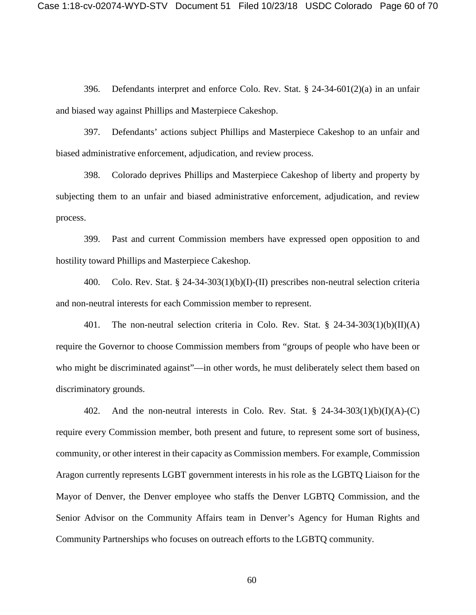396. Defendants interpret and enforce Colo. Rev. Stat. § 24-34-601(2)(a) in an unfair and biased way against Phillips and Masterpiece Cakeshop.

397. Defendants' actions subject Phillips and Masterpiece Cakeshop to an unfair and biased administrative enforcement, adjudication, and review process.

398. Colorado deprives Phillips and Masterpiece Cakeshop of liberty and property by subjecting them to an unfair and biased administrative enforcement, adjudication, and review process.

399. Past and current Commission members have expressed open opposition to and hostility toward Phillips and Masterpiece Cakeshop.

400. Colo. Rev. Stat. § 24-34-303(1)(b)(I)-(II) prescribes non-neutral selection criteria and non-neutral interests for each Commission member to represent.

401. The non-neutral selection criteria in Colo. Rev. Stat. § 24-34-303(1)(b)(II)(A) require the Governor to choose Commission members from "groups of people who have been or who might be discriminated against"—in other words, he must deliberately select them based on discriminatory grounds.

402. And the non-neutral interests in Colo. Rev. Stat.  $\S$  24-34-303(1)(b)(I)(A)-(C) require every Commission member, both present and future, to represent some sort of business, community, or other interest in their capacity as Commission members. For example, Commission Aragon currently represents LGBT government interests in his role as the LGBTQ Liaison for the Mayor of Denver, the Denver employee who staffs the Denver LGBTQ Commission, and the Senior Advisor on the Community Affairs team in Denver's Agency for Human Rights and Community Partnerships who focuses on outreach efforts to the LGBTQ community.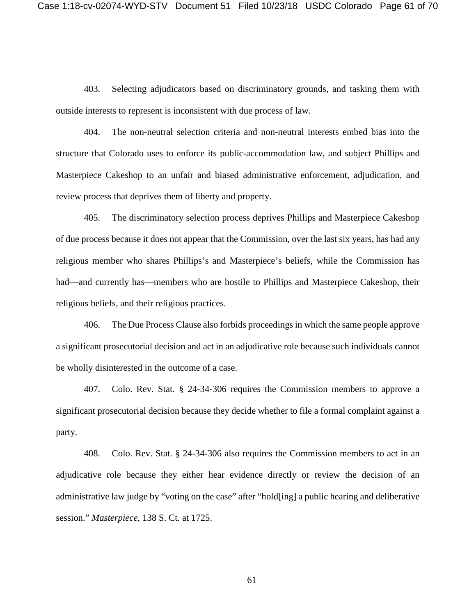403. Selecting adjudicators based on discriminatory grounds, and tasking them with outside interests to represent is inconsistent with due process of law.

404. The non-neutral selection criteria and non-neutral interests embed bias into the structure that Colorado uses to enforce its public-accommodation law, and subject Phillips and Masterpiece Cakeshop to an unfair and biased administrative enforcement, adjudication, and review process that deprives them of liberty and property.

405. The discriminatory selection process deprives Phillips and Masterpiece Cakeshop of due process because it does not appear that the Commission, over the last six years, has had any religious member who shares Phillips's and Masterpiece's beliefs, while the Commission has had—and currently has—members who are hostile to Phillips and Masterpiece Cakeshop, their religious beliefs, and their religious practices.

406. The Due Process Clause also forbids proceedings in which the same people approve a significant prosecutorial decision and act in an adjudicative role because such individuals cannot be wholly disinterested in the outcome of a case.

407. Colo. Rev. Stat. § 24-34-306 requires the Commission members to approve a significant prosecutorial decision because they decide whether to file a formal complaint against a party.

408. Colo. Rev. Stat. § 24-34-306 also requires the Commission members to act in an adjudicative role because they either hear evidence directly or review the decision of an administrative law judge by "voting on the case" after "hold[ing] a public hearing and deliberative session." *Masterpiece*, 138 S. Ct. at 1725.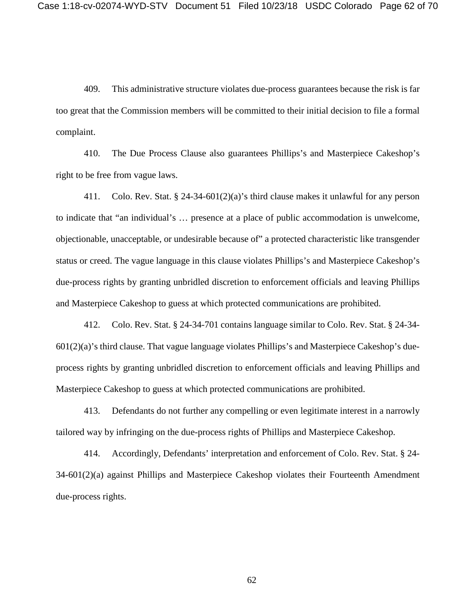409. This administrative structure violates due-process guarantees because the risk is far too great that the Commission members will be committed to their initial decision to file a formal complaint.

410. The Due Process Clause also guarantees Phillips's and Masterpiece Cakeshop's right to be free from vague laws.

411. Colo. Rev. Stat. § 24-34-601(2)(a)'s third clause makes it unlawful for any person to indicate that "an individual's … presence at a place of public accommodation is unwelcome, objectionable, unacceptable, or undesirable because of" a protected characteristic like transgender status or creed. The vague language in this clause violates Phillips's and Masterpiece Cakeshop's due-process rights by granting unbridled discretion to enforcement officials and leaving Phillips and Masterpiece Cakeshop to guess at which protected communications are prohibited.

412. Colo. Rev. Stat. § 24-34-701 contains language similar to Colo. Rev. Stat. § 24-34-  $601(2)(a)$ 's third clause. That vague language violates Phillips's and Masterpiece Cakeshop's dueprocess rights by granting unbridled discretion to enforcement officials and leaving Phillips and Masterpiece Cakeshop to guess at which protected communications are prohibited.

413. Defendants do not further any compelling or even legitimate interest in a narrowly tailored way by infringing on the due-process rights of Phillips and Masterpiece Cakeshop.

414. Accordingly, Defendants' interpretation and enforcement of Colo. Rev. Stat. § 24- 34-601(2)(a) against Phillips and Masterpiece Cakeshop violates their Fourteenth Amendment due-process rights.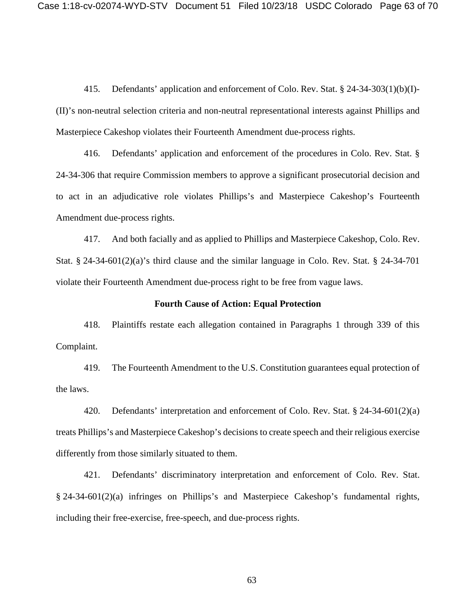415. Defendants' application and enforcement of Colo. Rev. Stat. § 24-34-303(1)(b)(I)- (II)'s non-neutral selection criteria and non-neutral representational interests against Phillips and Masterpiece Cakeshop violates their Fourteenth Amendment due-process rights.

416. Defendants' application and enforcement of the procedures in Colo. Rev. Stat. § 24-34-306 that require Commission members to approve a significant prosecutorial decision and to act in an adjudicative role violates Phillips's and Masterpiece Cakeshop's Fourteenth Amendment due-process rights.

417. And both facially and as applied to Phillips and Masterpiece Cakeshop, Colo. Rev. Stat. § 24-34-601(2)(a)'s third clause and the similar language in Colo. Rev. Stat. § 24-34-701 violate their Fourteenth Amendment due-process right to be free from vague laws.

#### **Fourth Cause of Action: Equal Protection**

418. Plaintiffs restate each allegation contained in Paragraphs 1 through 339 of this Complaint.

419. The Fourteenth Amendment to the U.S. Constitution guarantees equal protection of the laws.

420. Defendants' interpretation and enforcement of Colo. Rev. Stat. § 24-34-601(2)(a) treats Phillips's and Masterpiece Cakeshop's decisions to create speech and their religious exercise differently from those similarly situated to them.

421. Defendants' discriminatory interpretation and enforcement of Colo. Rev. Stat. § 24-34-601(2)(a) infringes on Phillips's and Masterpiece Cakeshop's fundamental rights, including their free-exercise, free-speech, and due-process rights.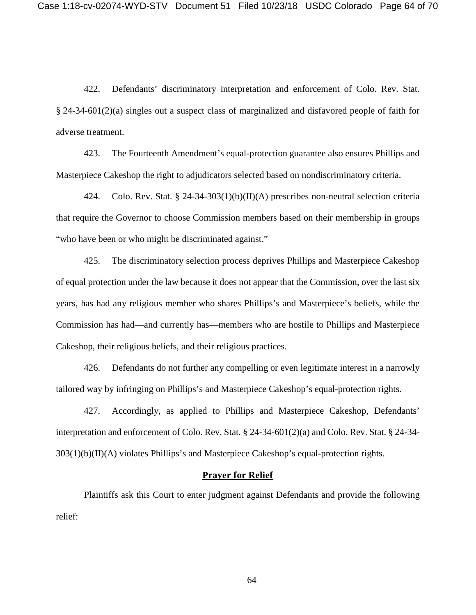422. Defendants' discriminatory interpretation and enforcement of Colo. Rev. Stat. § 24-34-601(2)(a) singles out a suspect class of marginalized and disfavored people of faith for adverse treatment.

423. The Fourteenth Amendment's equal-protection guarantee also ensures Phillips and Masterpiece Cakeshop the right to adjudicators selected based on nondiscriminatory criteria.

424. Colo. Rev. Stat. § 24-34-303(1)(b)(II)(A) prescribes non-neutral selection criteria that require the Governor to choose Commission members based on their membership in groups "who have been or who might be discriminated against."

425. The discriminatory selection process deprives Phillips and Masterpiece Cakeshop of equal protection under the law because it does not appear that the Commission, over the last six years, has had any religious member who shares Phillips's and Masterpiece's beliefs, while the Commission has had—and currently has—members who are hostile to Phillips and Masterpiece Cakeshop, their religious beliefs, and their religious practices.

426. Defendants do not further any compelling or even legitimate interest in a narrowly tailored way by infringing on Phillips's and Masterpiece Cakeshop's equal-protection rights.

427. Accordingly, as applied to Phillips and Masterpiece Cakeshop, Defendants' interpretation and enforcement of Colo. Rev. Stat. § 24-34-601(2)(a) and Colo. Rev. Stat. § 24-34-  $303(1)(b)(II)(A)$  violates Phillips's and Masterpiece Cakeshop's equal-protection rights.

## **Prayer for Relief**

Plaintiffs ask this Court to enter judgment against Defendants and provide the following relief: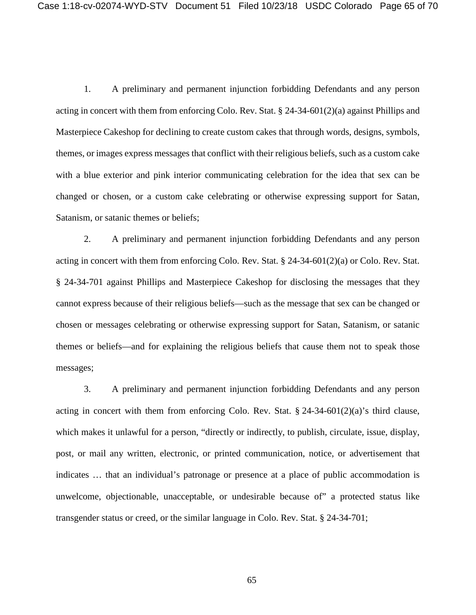1. A preliminary and permanent injunction forbidding Defendants and any person acting in concert with them from enforcing Colo. Rev. Stat. § 24-34-601(2)(a) against Phillips and Masterpiece Cakeshop for declining to create custom cakes that through words, designs, symbols, themes, or images express messages that conflict with their religious beliefs, such as a custom cake with a blue exterior and pink interior communicating celebration for the idea that sex can be changed or chosen, or a custom cake celebrating or otherwise expressing support for Satan, Satanism, or satanic themes or beliefs;

2. A preliminary and permanent injunction forbidding Defendants and any person acting in concert with them from enforcing Colo. Rev. Stat.  $\S$  24-34-601(2)(a) or Colo. Rev. Stat. § 24-34-701 against Phillips and Masterpiece Cakeshop for disclosing the messages that they cannot express because of their religious beliefs—such as the message that sex can be changed or chosen or messages celebrating or otherwise expressing support for Satan, Satanism, or satanic themes or beliefs—and for explaining the religious beliefs that cause them not to speak those messages;

3. A preliminary and permanent injunction forbidding Defendants and any person acting in concert with them from enforcing Colo. Rev. Stat. § 24-34-601(2)(a)'s third clause, which makes it unlawful for a person, "directly or indirectly, to publish, circulate, issue, display, post, or mail any written, electronic, or printed communication, notice, or advertisement that indicates … that an individual's patronage or presence at a place of public accommodation is unwelcome, objectionable, unacceptable, or undesirable because of" a protected status like transgender status or creed, or the similar language in Colo. Rev. Stat. § 24-34-701;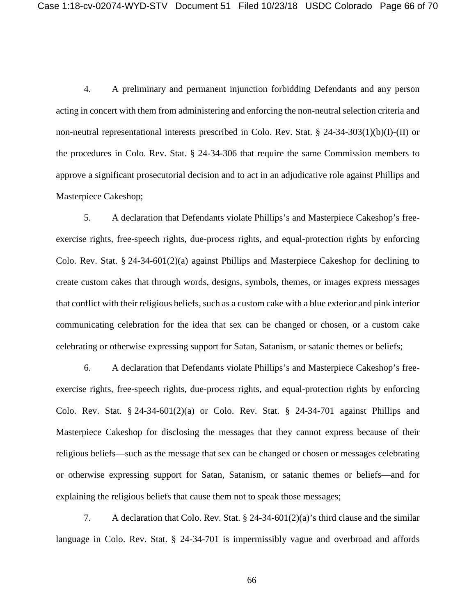4. A preliminary and permanent injunction forbidding Defendants and any person acting in concert with them from administering and enforcing the non-neutral selection criteria and non-neutral representational interests prescribed in Colo. Rev. Stat. § 24-34-303(1)(b)(I)-(II) or the procedures in Colo. Rev. Stat. § 24-34-306 that require the same Commission members to approve a significant prosecutorial decision and to act in an adjudicative role against Phillips and Masterpiece Cakeshop;

5. A declaration that Defendants violate Phillips's and Masterpiece Cakeshop's freeexercise rights, free-speech rights, due-process rights, and equal-protection rights by enforcing Colo. Rev. Stat. § 24-34-601(2)(a) against Phillips and Masterpiece Cakeshop for declining to create custom cakes that through words, designs, symbols, themes, or images express messages that conflict with their religious beliefs, such as a custom cake with a blue exterior and pink interior communicating celebration for the idea that sex can be changed or chosen, or a custom cake celebrating or otherwise expressing support for Satan, Satanism, or satanic themes or beliefs;

6. A declaration that Defendants violate Phillips's and Masterpiece Cakeshop's freeexercise rights, free-speech rights, due-process rights, and equal-protection rights by enforcing Colo. Rev. Stat.  $\S$  24-34-601(2)(a) or Colo. Rev. Stat.  $\S$  24-34-701 against Phillips and Masterpiece Cakeshop for disclosing the messages that they cannot express because of their religious beliefs—such as the message that sex can be changed or chosen or messages celebrating or otherwise expressing support for Satan, Satanism, or satanic themes or beliefs—and for explaining the religious beliefs that cause them not to speak those messages;

7. A declaration that Colo. Rev. Stat. § 24-34-601(2)(a)'s third clause and the similar language in Colo. Rev. Stat. § 24-34-701 is impermissibly vague and overbroad and affords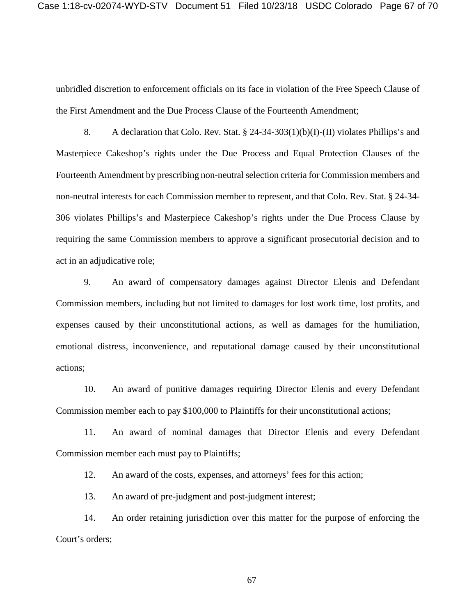unbridled discretion to enforcement officials on its face in violation of the Free Speech Clause of the First Amendment and the Due Process Clause of the Fourteenth Amendment;

8. A declaration that Colo. Rev. Stat. § 24-34-303(1)(b)(I)-(II) violates Phillips's and Masterpiece Cakeshop's rights under the Due Process and Equal Protection Clauses of the Fourteenth Amendment by prescribing non-neutral selection criteria for Commission members and non-neutral interests for each Commission member to represent, and that Colo. Rev. Stat. § 24-34- 306 violates Phillips's and Masterpiece Cakeshop's rights under the Due Process Clause by requiring the same Commission members to approve a significant prosecutorial decision and to act in an adjudicative role;

9. An award of compensatory damages against Director Elenis and Defendant Commission members, including but not limited to damages for lost work time, lost profits, and expenses caused by their unconstitutional actions, as well as damages for the humiliation, emotional distress, inconvenience, and reputational damage caused by their unconstitutional actions;

10. An award of punitive damages requiring Director Elenis and every Defendant Commission member each to pay \$100,000 to Plaintiffs for their unconstitutional actions;

11. An award of nominal damages that Director Elenis and every Defendant Commission member each must pay to Plaintiffs;

12. An award of the costs, expenses, and attorneys' fees for this action;

13. An award of pre-judgment and post-judgment interest;

14. An order retaining jurisdiction over this matter for the purpose of enforcing the Court's orders;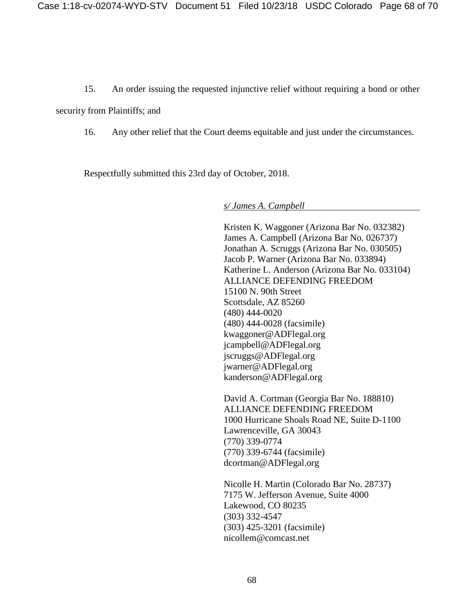15. An order issuing the requested injunctive relief without requiring a bond or other

security from Plaintiffs; and

16. Any other relief that the Court deems equitable and just under the circumstances.

Respectfully submitted this 23rd day of October, 2018.

*s/ James A. Campbell*

Kristen K. Waggoner (Arizona Bar No. 032382) James A. Campbell (Arizona Bar No. 026737) Jonathan A. Scruggs (Arizona Bar No. 030505) Jacob P. Warner (Arizona Bar No. 033894) Katherine L. Anderson (Arizona Bar No. 033104) ALLIANCE DEFENDING FREEDOM 15100 N. 90th Street Scottsdale, AZ 85260 (480) 444-0020 (480) 444-0028 (facsimile) kwaggoner@ADFlegal.org jcampbell@ADFlegal.org jscruggs@ADFlegal.org jwarner@ADFlegal.org kanderson@ADFlegal.org

David A. Cortman (Georgia Bar No. 188810) ALLIANCE DEFENDING FREEDOM 1000 Hurricane Shoals Road NE, Suite D-1100 Lawrenceville, GA 30043 (770) 339-0774 (770) 339-6744 (facsimile) dcortman@ADFlegal.org

Nicolle H. Martin (Colorado Bar No. 28737) 7175 W. Jefferson Avenue, Suite 4000 Lakewood, CO 80235 (303) 332-4547 (303) 425-3201 (facsimile) nicollem@comcast.net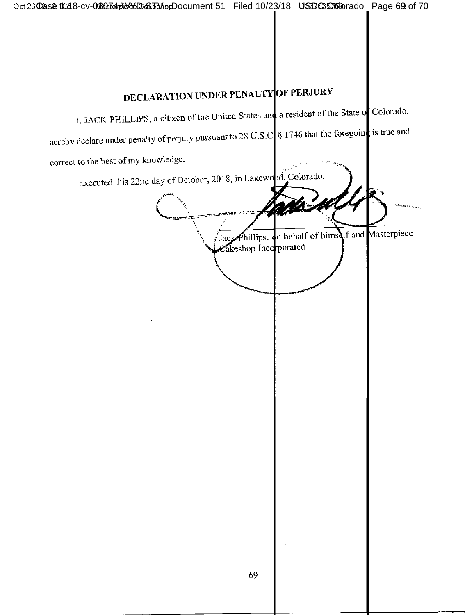# **DECLARATION UNDER PENALTY OF PERJURY**

I, JACK PHILLIPS, a citizen of the United States and a resident of the State of Colorado,

hereby declare under penalty of perjury pursuant to 28 U.S.C  $\int$  \$ 1746 that the foregoing is true and

correct to the best of my knowledge.

Executed this 22nd day of October, 2018, in Lakewood, Colorado. Phillips, on behalf of himself and Masterpiece Jack Cakeshop Incorporated 69